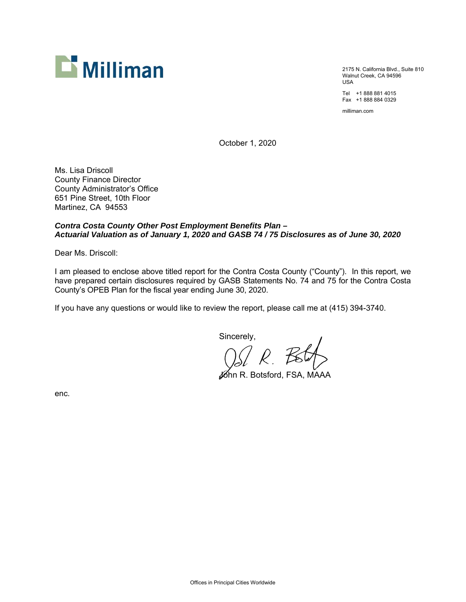

2175 N. California Blvd., Suite 810 Walnut Creek, CA 94596 USA

Tel +1 888 881 4015 Fax +1 888 884 0329

milliman.com

October 1, 2020

Ms. Lisa Driscoll County Finance Director County Administrator's Office 651 Pine Street, 10th Floor Martinez, CA 94553

# *Contra Costa County Other Post Employment Benefits Plan – Actuarial Valuation as of January 1, 2020 and GASB 74 / 75 Disclosures as of June 30, 2020*

Dear Ms. Driscoll:

I am pleased to enclose above titled report for the Contra Costa County ("County"). In this report, we have prepared certain disclosures required by GASB Statements No. 74 and 75 for the Contra Costa County's OPEB Plan for the fiscal year ending June 30, 2020.

If you have any questions or would like to review the report, please call me at (415) 394-3740.

Sincerely,

John R. Botsford, FSA, MAAA

enc.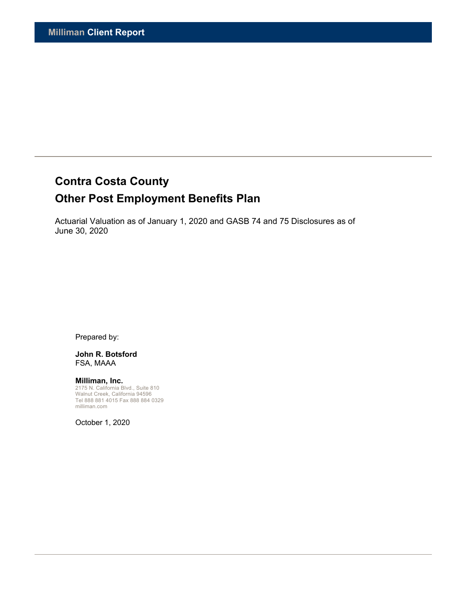# **Contra Costa County**

# **Other Post Employment Benefits Plan**

Actuarial Valuation as of January 1, 2020 and GASB 74 and 75 Disclosures as of June 30, 2020

Prepared by:

#### **John R. Botsford**  FSA, MAAA

**Milliman, Inc.**  2175 N. California Blvd., Suite 810 Walnut Creek, California 94596 Tel 888 881 4015 Fax 888 884 0329 milliman.com

October 1, 2020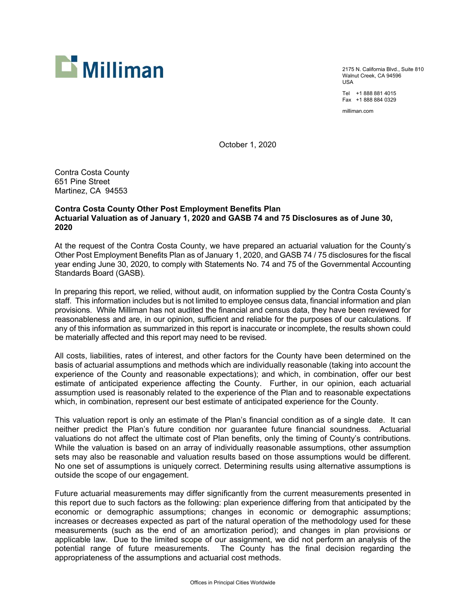

2175 N. California Blvd., Suite 810 Walnut Creek, CA 94596 USA

Tel +1 888 881 4015 Fax +1 888 884 0329

milliman.com

October 1, 2020

Contra Costa County 651 Pine Street Martinez, CA 94553

# **Contra Costa County Other Post Employment Benefits Plan Actuarial Valuation as of January 1, 2020 and GASB 74 and 75 Disclosures as of June 30, 2020**

At the request of the Contra Costa County, we have prepared an actuarial valuation for the County's Other Post Employment Benefits Plan as of January 1, 2020, and GASB 74 / 75 disclosures for the fiscal year ending June 30, 2020, to comply with Statements No. 74 and 75 of the Governmental Accounting Standards Board (GASB).

In preparing this report, we relied, without audit, on information supplied by the Contra Costa County's staff. This information includes but is not limited to employee census data, financial information and plan provisions. While Milliman has not audited the financial and census data, they have been reviewed for reasonableness and are, in our opinion, sufficient and reliable for the purposes of our calculations. If any of this information as summarized in this report is inaccurate or incomplete, the results shown could be materially affected and this report may need to be revised.

All costs, liabilities, rates of interest, and other factors for the County have been determined on the basis of actuarial assumptions and methods which are individually reasonable (taking into account the experience of the County and reasonable expectations); and which, in combination, offer our best estimate of anticipated experience affecting the County. Further, in our opinion, each actuarial assumption used is reasonably related to the experience of the Plan and to reasonable expectations which, in combination, represent our best estimate of anticipated experience for the County.

This valuation report is only an estimate of the Plan's financial condition as of a single date. It can neither predict the Plan's future condition nor guarantee future financial soundness. Actuarial valuations do not affect the ultimate cost of Plan benefits, only the timing of County's contributions. While the valuation is based on an array of individually reasonable assumptions, other assumption sets may also be reasonable and valuation results based on those assumptions would be different. No one set of assumptions is uniquely correct. Determining results using alternative assumptions is outside the scope of our engagement.

Future actuarial measurements may differ significantly from the current measurements presented in this report due to such factors as the following: plan experience differing from that anticipated by the economic or demographic assumptions; changes in economic or demographic assumptions; increases or decreases expected as part of the natural operation of the methodology used for these measurements (such as the end of an amortization period); and changes in plan provisions or applicable law. Due to the limited scope of our assignment, we did not perform an analysis of the potential range of future measurements. The County has the final decision regarding the appropriateness of the assumptions and actuarial cost methods.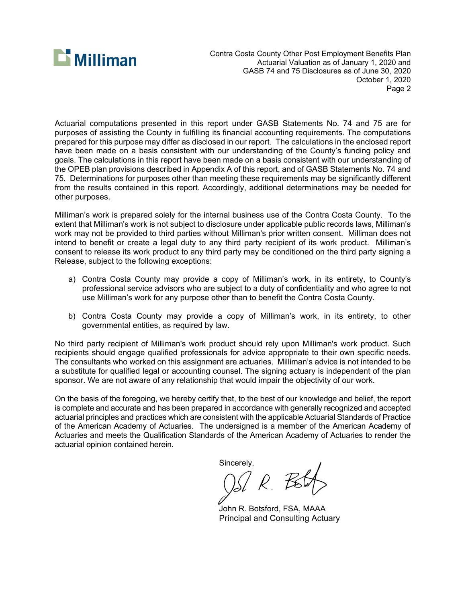

Contra Costa County Other Post Employment Benefits Plan Actuarial Valuation as of January 1, 2020 and GASB 74 and 75 Disclosures as of June 30, 2020 October 1, 2020 Page 2

Actuarial computations presented in this report under GASB Statements No. 74 and 75 are for purposes of assisting the County in fulfilling its financial accounting requirements. The computations prepared for this purpose may differ as disclosed in our report. The calculations in the enclosed report have been made on a basis consistent with our understanding of the County's funding policy and goals. The calculations in this report have been made on a basis consistent with our understanding of the OPEB plan provisions described in Appendix A of this report, and of GASB Statements No. 74 and 75. Determinations for purposes other than meeting these requirements may be significantly different from the results contained in this report. Accordingly, additional determinations may be needed for other purposes.

Milliman's work is prepared solely for the internal business use of the Contra Costa County. To the extent that Milliman's work is not subject to disclosure under applicable public records laws, Milliman's work may not be provided to third parties without Milliman's prior written consent. Milliman does not intend to benefit or create a legal duty to any third party recipient of its work product. Milliman's consent to release its work product to any third party may be conditioned on the third party signing a Release, subject to the following exceptions:

- a) Contra Costa County may provide a copy of Milliman's work, in its entirety, to County's professional service advisors who are subject to a duty of confidentiality and who agree to not use Milliman's work for any purpose other than to benefit the Contra Costa County.
- b) Contra Costa County may provide a copy of Milliman's work, in its entirety, to other governmental entities, as required by law.

No third party recipient of Milliman's work product should rely upon Milliman's work product. Such recipients should engage qualified professionals for advice appropriate to their own specific needs. The consultants who worked on this assignment are actuaries. Milliman's advice is not intended to be a substitute for qualified legal or accounting counsel. The signing actuary is independent of the plan sponsor. We are not aware of any relationship that would impair the objectivity of our work.

On the basis of the foregoing, we hereby certify that, to the best of our knowledge and belief, the report is complete and accurate and has been prepared in accordance with generally recognized and accepted actuarial principles and practices which are consistent with the applicable Actuarial Standards of Practice of the American Academy of Actuaries. The undersigned is a member of the American Academy of Actuaries and meets the Qualification Standards of the American Academy of Actuaries to render the actuarial opinion contained herein.

Sincerely,

 $\ell$ 

 John R. Botsford, FSA, MAAA Principal and Consulting Actuary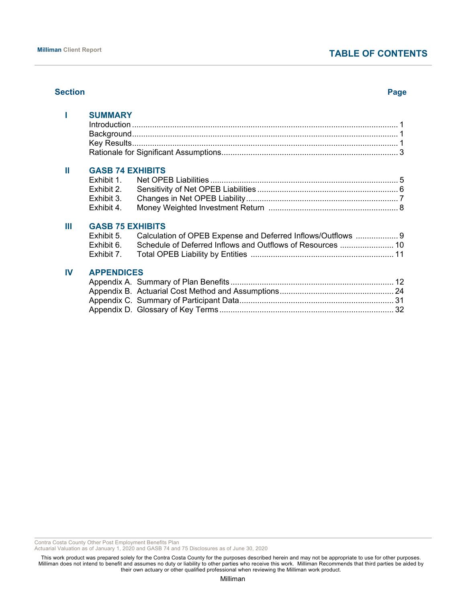# **TABLE OF CONTENTS**

#### **Section Page**

|    | <b>SUMMARY</b>           |                                                              |  |
|----|--------------------------|--------------------------------------------------------------|--|
| Ш  | <b>GASB 74 EXHIBITS</b>  |                                                              |  |
|    | Exhibit 1.<br>Exhibit 2. |                                                              |  |
|    | Exhibit 3.               |                                                              |  |
|    | Exhibit 4.               |                                                              |  |
| Ш  | <b>GASB 75 EXHIBITS</b>  |                                                              |  |
|    | Exhibit 5.               | Calculation of OPEB Expense and Deferred Inflows/Outflows  9 |  |
|    | Exhibit 6.               | Schedule of Deferred Inflows and Outflows of Resources  10   |  |
|    | Exhibit 7.               |                                                              |  |
| IV | <b>APPENDICES</b>        |                                                              |  |
|    |                          |                                                              |  |
|    |                          |                                                              |  |
|    |                          |                                                              |  |
|    |                          |                                                              |  |

Contra Costa County Other Post Employment Benefits Plan

Actuarial Valuation as of January 1, 2020 and GASB 74 and 75 Disclosures as of June 30, 2020

This work product was prepared solely for the Contra Costa County for the purposes described herein and may not be appropriate to use for other purposes. Milliman does not intend to benefit and assumes no duty or liability to other parties who receive this work. Milliman Recommends that third parties be aided by their own actuary or other qualified professional when reviewing the Milliman work product.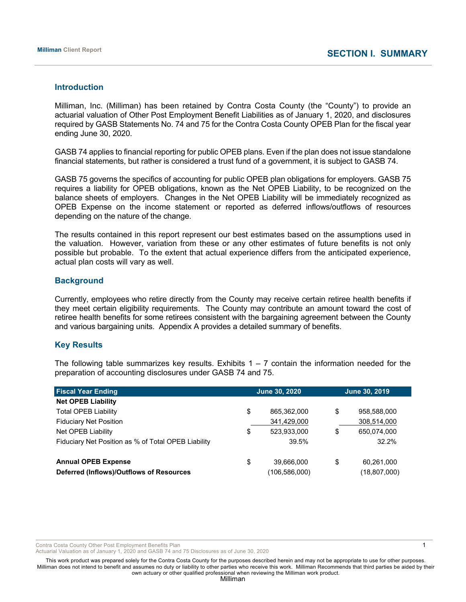#### **Introduction**

Milliman, Inc. (Milliman) has been retained by Contra Costa County (the "County") to provide an actuarial valuation of Other Post Employment Benefit Liabilities as of January 1, 2020, and disclosures required by GASB Statements No. 74 and 75 for the Contra Costa County OPEB Plan for the fiscal year ending June 30, 2020.

GASB 74 applies to financial reporting for public OPEB plans. Even if the plan does not issue standalone financial statements, but rather is considered a trust fund of a government, it is subject to GASB 74.

GASB 75 governs the specifics of accounting for public OPEB plan obligations for employers. GASB 75 requires a liability for OPEB obligations, known as the Net OPEB Liability, to be recognized on the balance sheets of employers. Changes in the Net OPEB Liability will be immediately recognized as OPEB Expense on the income statement or reported as deferred inflows/outflows of resources depending on the nature of the change.

The results contained in this report represent our best estimates based on the assumptions used in the valuation. However, variation from these or any other estimates of future benefits is not only possible but probable. To the extent that actual experience differs from the anticipated experience, actual plan costs will vary as well.

# **Background**

Currently, employees who retire directly from the County may receive certain retiree health benefits if they meet certain eligibility requirements. The County may contribute an amount toward the cost of retiree health benefits for some retirees consistent with the bargaining agreement between the County and various bargaining units. Appendix A provides a detailed summary of benefits.

# **Key Results**

The following table summarizes key results. Exhibits  $1 - 7$  contain the information needed for the preparation of accounting disclosures under GASB 74 and 75.

| <b>Fiscal Year Ending</b>                           |    | <b>June 30, 2020</b> |    | <b>June 30, 2019</b> |
|-----------------------------------------------------|----|----------------------|----|----------------------|
| <b>Net OPEB Liability</b>                           |    |                      |    |                      |
| <b>Total OPEB Liability</b>                         | \$ | 865,362,000          | \$ | 958,588,000          |
| <b>Fiduciary Net Position</b>                       |    | 341,429,000          |    | 308,514,000          |
| Net OPEB Liability                                  | \$ | 523,933,000          | \$ | 650,074,000          |
| Fiduciary Net Position as % of Total OPEB Liability |    | 39.5%                |    | 32.2%                |
|                                                     |    |                      |    |                      |
| <b>Annual OPEB Expense</b>                          | \$ | 39,666,000           | \$ | 60,261,000           |
| Deferred (Inflows)/Outflows of Resources            |    | (106,586,000)        |    | (18, 807, 000)       |

Contra Costa County Other Post Employment Benefits Plan 1 and 1 and 2008 1 and 2008 1 and 2008 1 and 2008 1 and 2008 1 and 2008 1 and 2008 1 and 2008 1 and 2008 1 and 2008 1 and 2008 1 and 2008 1 and 2008 1 and 2008 1 and

Actuarial Valuation as of January 1, 2020 and GASB 74 and 75 Disclosures as of June 30, 2020

This work product was prepared solely for the Contra Costa County for the purposes described herein and may not be appropriate to use for other purposes. Milliman does not intend to benefit and assumes no duty or liability to other parties who receive this work. Milliman Recommends that third parties be aided by their own actuary or other qualified professional when reviewing the Milliman work product.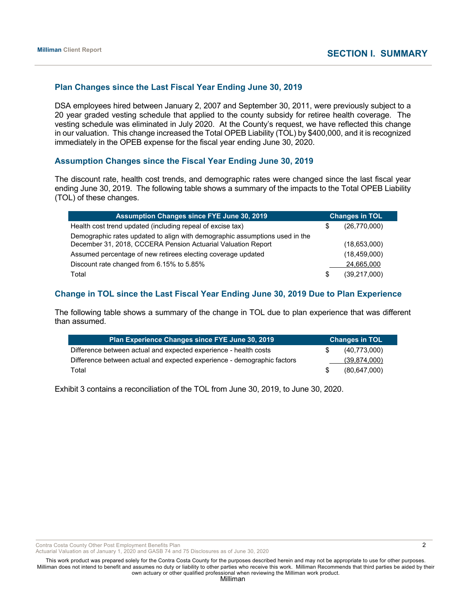# **Plan Changes since the Last Fiscal Year Ending June 30, 2019**

DSA employees hired between January 2, 2007 and September 30, 2011, were previously subject to a 20 year graded vesting schedule that applied to the county subsidy for retiree health coverage. The vesting schedule was eliminated in July 2020. At the County's request, we have reflected this change in our valuation. This change increased the Total OPEB Liability (TOL) by \$400,000, and it is recognized immediately in the OPEB expense for the fiscal year ending June 30, 2020.

# **Assumption Changes since the Fiscal Year Ending June 30, 2019**

The discount rate, health cost trends, and demographic rates were changed since the last fiscal year ending June 30, 2019. The following table shows a summary of the impacts to the Total OPEB Liability (TOL) of these changes.

| <b>Assumption Changes since FYE June 30, 2019</b>                                                                                           | <b>Changes in TOL</b> |                |  |
|---------------------------------------------------------------------------------------------------------------------------------------------|-----------------------|----------------|--|
| Health cost trend updated (including repeal of excise tax)                                                                                  |                       | (26,770,000)   |  |
| Demographic rates updated to align with demographic assumptions used in the<br>December 31, 2018, CCCERA Pension Actuarial Valuation Report |                       | (18,653,000)   |  |
| Assumed percentage of new retirees electing coverage updated                                                                                |                       | (18, 459, 000) |  |
| Discount rate changed from 6.15% to 5.85%                                                                                                   |                       | 24,665,000     |  |
| Total                                                                                                                                       | S                     | (39,217,000)   |  |

# **Change in TOL since the Last Fiscal Year Ending June 30, 2019 Due to Plan Experience**

The following table shows a summary of the change in TOL due to plan experience that was different than assumed.

| Plan Experience Changes since FYE June 30, 2019                         | <b>Changes in TOL</b> |
|-------------------------------------------------------------------------|-----------------------|
| Difference between actual and expected experience - health costs        | (40,773,000)          |
| Difference between actual and expected experience - demographic factors | (39,874,000)          |
| Total                                                                   | (80, 647, 000)        |

Exhibit 3 contains a reconciliation of the TOL from June 30, 2019, to June 30, 2020.

Contra Costa County Other Post Employment Benefits Plan 2 2

Actuarial Valuation as of January 1, 2020 and GASB 74 and 75 Disclosures as of June 30, 2020

This work product was prepared solely for the Contra Costa County for the purposes described herein and may not be appropriate to use for other purposes. Milliman does not intend to benefit and assumes no duty or liability to other parties who receive this work. Milliman Recommends that third parties be aided by their own actuary or other qualified professional when reviewing the Milliman work product.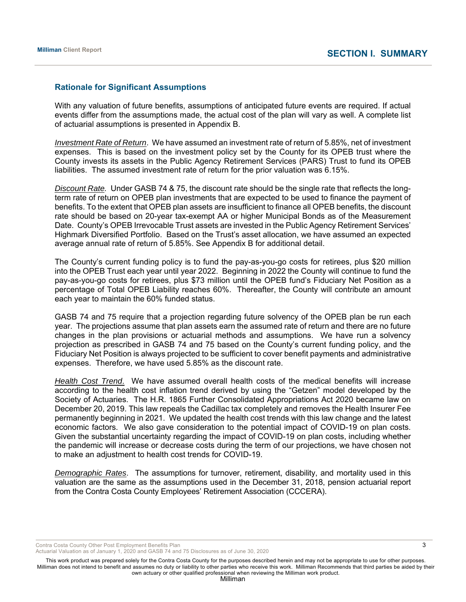# **Rationale for Significant Assumptions**

With any valuation of future benefits, assumptions of anticipated future events are required. If actual events differ from the assumptions made, the actual cost of the plan will vary as well. A complete list of actuarial assumptions is presented in Appendix B.

*Investment Rate of Return*. We have assumed an investment rate of return of 5.85%, net of investment expenses. This is based on the investment policy set by the County for its OPEB trust where the County invests its assets in the Public Agency Retirement Services (PARS) Trust to fund its OPEB liabilities. The assumed investment rate of return for the prior valuation was 6.15%.

*Discount Rate.* Under GASB 74 & 75, the discount rate should be the single rate that reflects the longterm rate of return on OPEB plan investments that are expected to be used to finance the payment of benefits. To the extent that OPEB plan assets are insufficient to finance all OPEB benefits, the discount rate should be based on 20-year tax-exempt AA or higher Municipal Bonds as of the Measurement Date. County's OPEB Irrevocable Trust assets are invested in the Public Agency Retirement Services' Highmark Diversified Portfolio. Based on the Trust's asset allocation, we have assumed an expected average annual rate of return of 5.85%. See Appendix B for additional detail.

The County's current funding policy is to fund the pay-as-you-go costs for retirees, plus \$20 million into the OPEB Trust each year until year 2022. Beginning in 2022 the County will continue to fund the pay-as-you-go costs for retirees, plus \$73 million until the OPEB fund's Fiduciary Net Position as a percentage of Total OPEB Liability reaches 60%. Thereafter, the County will contribute an amount each year to maintain the 60% funded status.

GASB 74 and 75 require that a projection regarding future solvency of the OPEB plan be run each year. The projections assume that plan assets earn the assumed rate of return and there are no future changes in the plan provisions or actuarial methods and assumptions. We have run a solvency projection as prescribed in GASB 74 and 75 based on the County's current funding policy, and the Fiduciary Net Position is always projected to be sufficient to cover benefit payments and administrative expenses. Therefore, we have used 5.85% as the discount rate.

*Health Cost Trend*. We have assumed overall health costs of the medical benefits will increase according to the health cost inflation trend derived by using the "Getzen" model developed by the Society of Actuaries. The H.R. 1865 Further Consolidated Appropriations Act 2020 became law on December 20, 2019. This law repeals the Cadillac tax completely and removes the Health Insurer Fee permanently beginning in 2021. We updated the health cost trends with this law change and the latest economic factors. We also gave consideration to the potential impact of COVID-19 on plan costs. Given the substantial uncertainty regarding the impact of COVID-19 on plan costs, including whether the pandemic will increase or decrease costs during the term of our projections, we have chosen not to make an adjustment to health cost trends for COVID-19.

*Demographic Rates*. The assumptions for turnover, retirement, disability, and mortality used in this valuation are the same as the assumptions used in the December 31, 2018, pension actuarial report from the Contra Costa County Employees' Retirement Association (CCCERA).

Contra Costa County Other Post Employment Benefits Plan 3 3

Actuarial Valuation as of January 1, 2020 and GASB 74 and 75 Disclosures as of June 30, 2020

This work product was prepared solely for the Contra Costa County for the purposes described herein and may not be appropriate to use for other purposes. Milliman does not intend to benefit and assumes no duty or liability to other parties who receive this work. Milliman Recommends that third parties be aided by their own actuary or other qualified professional when reviewing the Milliman work product.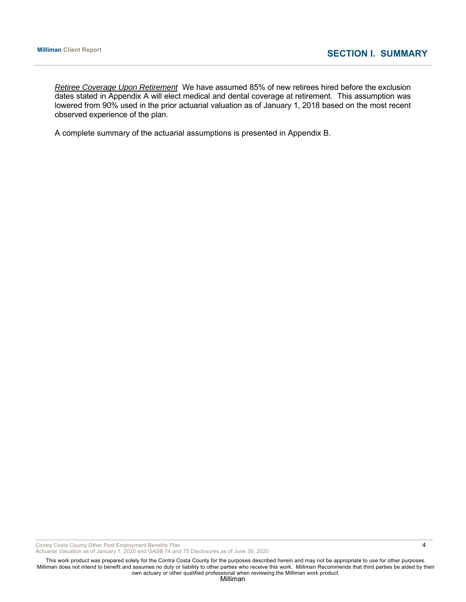*Retiree Coverage Upon Retirement* We have assumed 85% of new retirees hired before the exclusion dates stated in Appendix A will elect medical and dental coverage at retirement. This assumption was lowered from 90% used in the prior actuarial valuation as of January 1, 2018 based on the most recent observed experience of the plan.

A complete summary of the actuarial assumptions is presented in Appendix B.

Contra Costa County Other Post Employment Benefits Plan 4

Actuarial Valuation as of January 1, 2020 and GASB 74 and 75 Disclosures as of June 30, 2020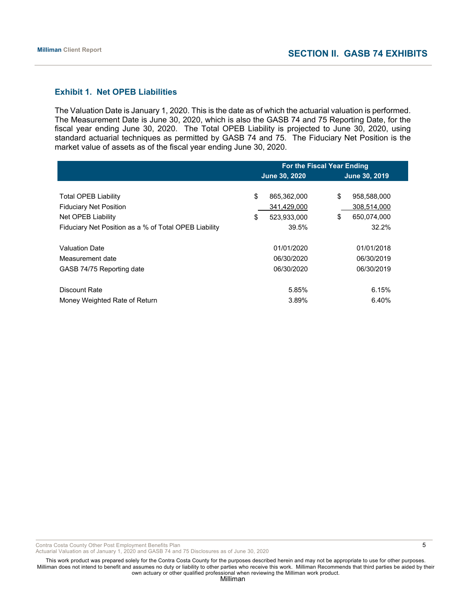# **Exhibit 1. Net OPEB Liabilities**

The Valuation Date is January 1, 2020. This is the date as of which the actuarial valuation is performed. The Measurement Date is June 30, 2020, which is also the GASB 74 and 75 Reporting Date, for the fiscal year ending June 30, 2020. The Total OPEB Liability is projected to June 30, 2020, using standard actuarial techniques as permitted by GASB 74 and 75. The Fiduciary Net Position is the market value of assets as of the fiscal year ending June 30, 2020.

|                                                       | <b>For the Fiscal Year Ending</b> |                      |  |  |  |
|-------------------------------------------------------|-----------------------------------|----------------------|--|--|--|
|                                                       | <b>June 30, 2020</b>              | <b>June 30, 2019</b> |  |  |  |
|                                                       |                                   |                      |  |  |  |
| <b>Total OPEB Liability</b>                           | \$<br>865,362,000                 | \$<br>958,588,000    |  |  |  |
| <b>Fiduciary Net Position</b>                         | 341,429,000                       | 308,514,000          |  |  |  |
| Net OPEB Liability                                    | 523,933,000<br>\$                 | \$<br>650.074.000    |  |  |  |
| Fiduciary Net Position as a % of Total OPEB Liability | 39.5%                             | 32.2%                |  |  |  |
|                                                       |                                   |                      |  |  |  |
| <b>Valuation Date</b>                                 | 01/01/2020                        | 01/01/2018           |  |  |  |
| Measurement date                                      | 06/30/2020                        | 06/30/2019           |  |  |  |
| GASB 74/75 Reporting date                             | 06/30/2020                        | 06/30/2019           |  |  |  |
|                                                       |                                   |                      |  |  |  |
| Discount Rate                                         | 5.85%                             | 6.15%                |  |  |  |
| Money Weighted Rate of Return                         | 3.89%                             | 6.40%                |  |  |  |

Contra Costa County Other Post Employment Benefits Plan 5 and 5 and 5 and 5 and 5 and 5 and 5 and 5 and 5 and 5 and 5 and 5 and 5 and 5 and 5 and 5 and 5 and 5 and 5 and 5 and 5 and 5 and 5 and 5 and 5 and 5 and 5 and 5 an

Actuarial Valuation as of January 1, 2020 and GASB 74 and 75 Disclosures as of June 30, 2020

This work product was prepared solely for the Contra Costa County for the purposes described herein and may not be appropriate to use for other purposes. Milliman does not intend to benefit and assumes no duty or liability to other parties who receive this work. Milliman Recommends that third parties be aided by their own actuary or other qualified professional when reviewing the Milliman work product.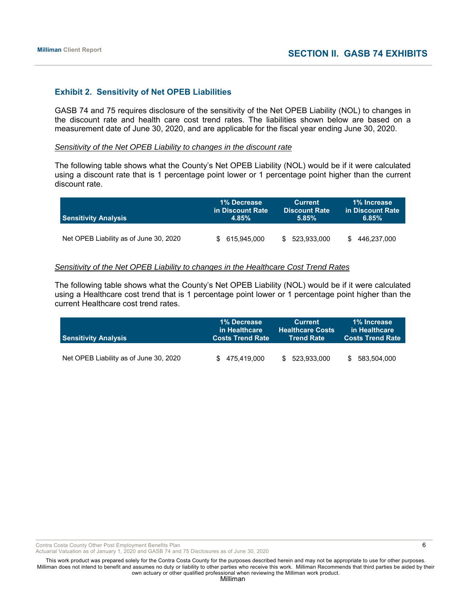#### **Exhibit 2. Sensitivity of Net OPEB Liabilities**

GASB 74 and 75 requires disclosure of the sensitivity of the Net OPEB Liability (NOL) to changes in the discount rate and health care cost trend rates. The liabilities shown below are based on a measurement date of June 30, 2020, and are applicable for the fiscal year ending June 30, 2020.

#### *Sensitivity of the Net OPEB Liability to changes in the discount rate*

The following table shows what the County's Net OPEB Liability (NOL) would be if it were calculated using a discount rate that is 1 percentage point lower or 1 percentage point higher than the current discount rate.

| <b>Sensitivity Analysis</b>            | 1% Decrease      | <b>Current</b>       | 1% Increase      |
|----------------------------------------|------------------|----------------------|------------------|
|                                        | in Discount Rate | <b>Discount Rate</b> | in Discount Rate |
|                                        | 4.85%            | 5.85%                | 6.85%            |
| Net OPEB Liability as of June 30, 2020 | 615.945.000      | 523.933.000<br>\$.   | 446.237.000      |

#### *Sensitivity of the Net OPEB Liability to changes in the Healthcare Cost Trend Rates*

The following table shows what the County's Net OPEB Liability (NOL) would be if it were calculated using a Healthcare cost trend that is 1 percentage point lower or 1 percentage point higher than the current Healthcare cost trend rates.

| <b>Sensitivity Analysis</b>            | 1% Decrease             | <b>Current</b>          | 1% Increase             |
|----------------------------------------|-------------------------|-------------------------|-------------------------|
|                                        | in Healthcare           | <b>Healthcare Costs</b> | in Healthcare           |
|                                        | <b>Costs Trend Rate</b> | <b>Trend Rate</b>       | <b>Costs Trend Rate</b> |
| Net OPEB Liability as of June 30, 2020 | \$475.419.000           | 523,933,000<br>\$.      | 583,504,000<br>\$.      |

Contra Costa County Other Post Employment Benefits Plan 6 and the state of the state of the state of the state of the state of the state of the state of the state of the state of the state of the state of the state of the

Actuarial Valuation as of January 1, 2020 and GASB 74 and 75 Disclosures as of June 30, 2020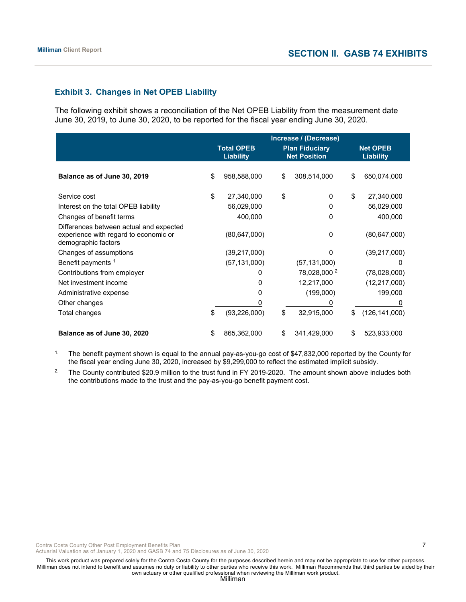# **Exhibit 3. Changes in Net OPEB Liability**

The following exhibit shows a reconciliation of the Net OPEB Liability from the measurement date June 30, 2019, to June 30, 2020, to be reported for the fiscal year ending June 30, 2020.

|                                                                                                         | Increase / (Decrease) |                                       |    |                                              |    |                                     |
|---------------------------------------------------------------------------------------------------------|-----------------------|---------------------------------------|----|----------------------------------------------|----|-------------------------------------|
|                                                                                                         |                       | <b>Total OPEB</b><br><b>Liability</b> |    | <b>Plan Fiduciary</b><br><b>Net Position</b> |    | <b>Net OPEB</b><br><b>Liability</b> |
| Balance as of June 30, 2019                                                                             | \$                    | 958,588,000                           | \$ | 308,514,000                                  | \$ | 650,074,000                         |
| Service cost                                                                                            | \$                    | 27,340,000                            | \$ | $\Omega$                                     | \$ | 27,340,000                          |
| Interest on the total OPEB liability                                                                    |                       | 56,029,000                            |    | 0                                            |    | 56,029,000                          |
| Changes of benefit terms                                                                                |                       | 400,000                               |    | 0                                            |    | 400,000                             |
| Differences between actual and expected<br>experience with regard to economic or<br>demographic factors |                       | (80, 647, 000)                        |    | 0                                            |    | (80, 647, 000)                      |
| Changes of assumptions                                                                                  |                       | (39, 217, 000)                        |    | $\Omega$                                     |    | (39, 217, 000)                      |
| Benefit payments 1                                                                                      |                       | (57, 131, 000)                        |    | (57, 131, 000)                               |    | 0                                   |
| Contributions from employer                                                                             |                       | 0                                     |    | 78,028,000 <sup>2</sup>                      |    | (78,028,000)                        |
| Net investment income                                                                                   |                       | 0                                     |    | 12,217,000                                   |    | (12, 217, 000)                      |
| Administrative expense                                                                                  |                       | $\Omega$                              |    | (199,000)                                    |    | 199,000                             |
| Other changes                                                                                           |                       |                                       |    |                                              |    |                                     |
| Total changes                                                                                           | \$                    | (93, 226, 000)                        | \$ | 32,915,000                                   | \$ | (126, 141, 000)                     |
| Balance as of June 30, 2020                                                                             | S                     | 865,362,000                           | \$ | 341,429,000                                  | S  | 523,933,000                         |

<sup>1.</sup> The benefit payment shown is equal to the annual pay-as-you-go cost of \$47,832,000 reported by the County for the fiscal year ending June 30, 2020, increased by \$9,299,000 to reflect the estimated implicit subsidy.

<sup>2.</sup> The County contributed \$20.9 million to the trust fund in FY 2019-2020. The amount shown above includes both the contributions made to the trust and the pay-as-you-go benefit payment cost.

Contra Costa County Other Post Employment Benefits Plan 7

Actuarial Valuation as of January 1, 2020 and GASB 74 and 75 Disclosures as of June 30, 2020

This work product was prepared solely for the Contra Costa County for the purposes described herein and may not be appropriate to use for other purposes. Milliman does not intend to benefit and assumes no duty or liability to other parties who receive this work. Milliman Recommends that third parties be aided by their own actuary or other qualified professional when reviewing the Milliman work product.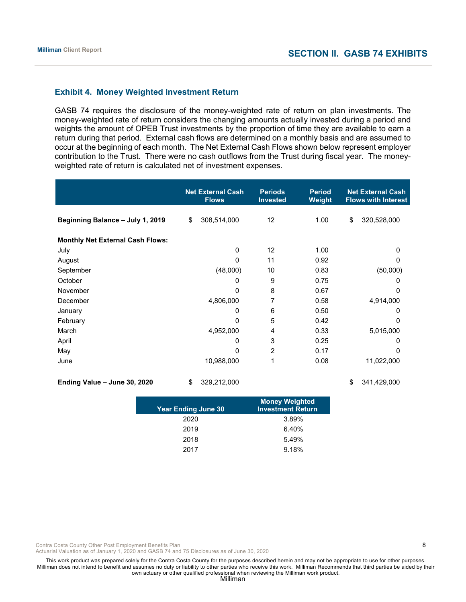# **Exhibit 4. Money Weighted Investment Return**

GASB 74 requires the disclosure of the money-weighted rate of return on plan investments. The money-weighted rate of return considers the changing amounts actually invested during a period and weights the amount of OPEB Trust investments by the proportion of time they are available to earn a return during that period. External cash flows are determined on a monthly basis and are assumed to occur at the beginning of each month. The Net External Cash Flows shown below represent employer contribution to the Trust. There were no cash outflows from the Trust during fiscal year. The moneyweighted rate of return is calculated net of investment expenses.

|                                         | <b>Net External Cash</b><br><b>Flows</b> | <b>Periods</b><br><b>Invested</b> | <b>Period</b><br>Weight | <b>Net External Cash</b><br><b>Flows with Interest</b> |
|-----------------------------------------|------------------------------------------|-----------------------------------|-------------------------|--------------------------------------------------------|
| Beginning Balance - July 1, 2019        | \$<br>308,514,000                        | 12                                | 1.00                    | \$<br>320,528,000                                      |
| <b>Monthly Net External Cash Flows:</b> |                                          |                                   |                         |                                                        |
| July                                    | 0                                        | 12                                | 1.00                    | 0                                                      |
| August                                  | 0                                        | 11                                | 0.92                    | 0                                                      |
| September                               | (48,000)                                 | 10                                | 0.83                    | (50,000)                                               |
| October                                 | 0                                        | 9                                 | 0.75                    | 0                                                      |
| November                                | 0                                        | 8                                 | 0.67                    | 0                                                      |
| December                                | 4,806,000                                | 7                                 | 0.58                    | 4,914,000                                              |
| January                                 | 0                                        | 6                                 | 0.50                    | 0                                                      |
| February                                | 0                                        | 5                                 | 0.42                    | $\Omega$                                               |
| March                                   | 4,952,000                                | 4                                 | 0.33                    | 5,015,000                                              |
| April                                   | 0                                        | 3                                 | 0.25                    | 0                                                      |
| May                                     | 0                                        | 2                                 | 0.17                    | 0                                                      |
| June                                    | 10,988,000                               | 1                                 | 0.08                    | 11,022,000                                             |
| Ending Value - June 30, 2020            | \$<br>329,212,000                        |                                   |                         | \$<br>341,429,000                                      |

| <b>Year Ending June 30</b> | <b>Money Weighted</b><br><b>Investment Return</b> |
|----------------------------|---------------------------------------------------|
| 2020                       | 3.89%                                             |
| 2019                       | 6.40%                                             |
| 2018                       | 5.49%                                             |
| 2017                       | 9.18%                                             |

Contra Costa County Other Post Employment Benefits Plan 8 and 2008 and 2008 and 2008 and 2008 and 2008 and 2008 and 2008 and 2008 and 2008 and 2008 and 2008 and 2008 and 2008 and 2008 and 2008 and 2008 and 2008 and 2008 an

Actuarial Valuation as of January 1, 2020 and GASB 74 and 75 Disclosures as of June 30, 2020

This work product was prepared solely for the Contra Costa County for the purposes described herein and may not be appropriate to use for other purposes. Milliman does not intend to benefit and assumes no duty or liability to other parties who receive this work. Milliman Recommends that third parties be aided by their own actuary or other qualified professional when reviewing the Milliman work product.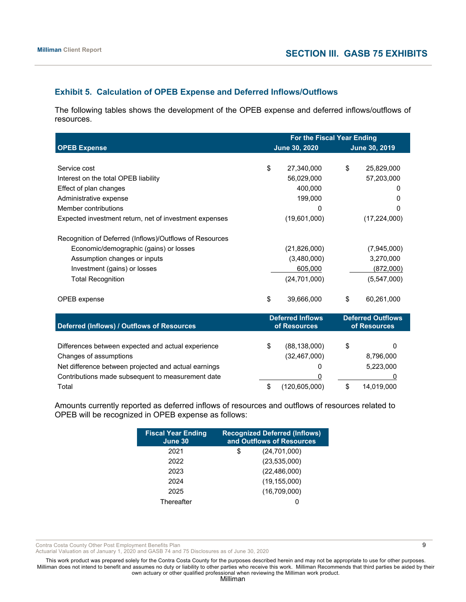# **Exhibit 5. Calculation of OPEB Expense and Deferred Inflows/Outflows**

The following tables shows the development of the OPEB expense and deferred inflows/outflows of resources.

|                                                         |    | For the Fiscal Year Ending              |    |                                          |  |  |  |
|---------------------------------------------------------|----|-----------------------------------------|----|------------------------------------------|--|--|--|
| <b>OPEB Expense</b>                                     |    | June 30, 2020                           |    | June 30, 2019                            |  |  |  |
|                                                         |    |                                         |    |                                          |  |  |  |
| Service cost                                            | \$ | 27,340,000                              | \$ | 25,829,000                               |  |  |  |
| Interest on the total OPEB liability                    |    | 56,029,000                              |    | 57,203,000                               |  |  |  |
| Effect of plan changes                                  |    | 400,000                                 |    | 0                                        |  |  |  |
| Administrative expense                                  |    | 199,000                                 |    | 0                                        |  |  |  |
| Member contributions                                    |    | 0                                       |    | 0                                        |  |  |  |
| Expected investment return, net of investment expenses  |    | (19,601,000)                            |    | (17, 224, 000)                           |  |  |  |
| Recognition of Deferred (Inflows)/Outflows of Resources |    |                                         |    |                                          |  |  |  |
| Economic/demographic (gains) or losses                  |    | (21, 826, 000)                          |    | (7,945,000)                              |  |  |  |
| Assumption changes or inputs                            |    | (3,480,000)                             |    | 3,270,000                                |  |  |  |
| Investment (gains) or losses                            |    | 605,000                                 |    | (872,000)                                |  |  |  |
| <b>Total Recognition</b>                                |    | (24, 701, 000)                          |    | (5,547,000)                              |  |  |  |
|                                                         |    |                                         |    |                                          |  |  |  |
| OPEB expense                                            | \$ | 39,666,000                              | \$ | 60,261,000                               |  |  |  |
| Deferred (Inflows) / Outflows of Resources              |    | <b>Deferred Inflows</b><br>of Resources |    | <b>Deferred Outflows</b><br>of Resources |  |  |  |
|                                                         |    |                                         |    |                                          |  |  |  |
| Differences between expected and actual experience      | \$ | (88, 138, 000)                          | \$ | 0                                        |  |  |  |
| Changes of assumptions                                  |    | (32, 467, 000)                          |    | 8,796,000                                |  |  |  |
| Net difference between projected and actual earnings    |    | 0                                       |    | 5,223,000                                |  |  |  |
| Contributions made subsequent to measurement date       |    | 0                                       |    |                                          |  |  |  |
| Total                                                   | \$ | (120, 605, 000)                         | \$ | 14,019,000                               |  |  |  |

Amounts currently reported as deferred inflows of resources and outflows of resources related to OPEB will be recognized in OPEB expense as follows:

| <b>Fiscal Year Ending</b><br>June 30 | <b>Recognized Deferred (Inflows)</b><br>and Outflows of Resources |
|--------------------------------------|-------------------------------------------------------------------|
| 2021                                 | (24, 701, 000)<br>\$                                              |
| 2022                                 | (23, 535, 000)                                                    |
| 2023                                 | (22, 486, 000)                                                    |
| 2024                                 | (19, 155, 000)                                                    |
| 2025                                 | (16,709,000)                                                      |
| Thereafter                           |                                                                   |

Contra Costa County Other Post Employment Benefits Plan 9

Actuarial Valuation as of January 1, 2020 and GASB 74 and 75 Disclosures as of June 30, 2020

This work product was prepared solely for the Contra Costa County for the purposes described herein and may not be appropriate to use for other purposes. Milliman does not intend to benefit and assumes no duty or liability to other parties who receive this work. Milliman Recommends that third parties be aided by their own actuary or other qualified professional when reviewing the Milliman work product.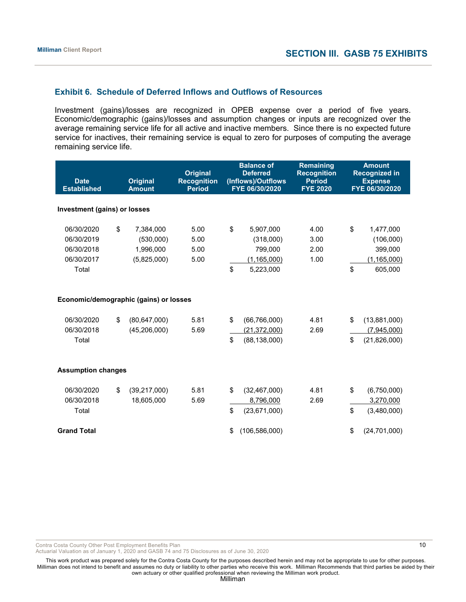# **Exhibit 6. Schedule of Deferred Inflows and Outflows of Resources**

Investment (gains)/losses are recognized in OPEB expense over a period of five years. Economic/demographic (gains)/losses and assumption changes or inputs are recognized over the average remaining service life for all active and inactive members. Since there is no expected future service for inactives, their remaining service is equal to zero for purposes of computing the average remaining service life.

| <b>Date</b><br><b>Established</b>                             | <b>Original</b><br><b>Amount</b>                         | <b>Original</b><br><b>Recognition</b><br><b>Period</b> | <b>Balance of</b><br><b>Deferred</b><br>(Inflows)/Outflows<br>FYE 06/30/2020 |                                                                 |                              |          |                                                               |  | <b>Remaining</b><br><b>Recognition</b><br><b>Period</b><br><b>FYE 2020</b> |  | <b>Amount</b><br><b>Recognized in</b><br><b>Expense</b><br>FYE 06/30/2020 |
|---------------------------------------------------------------|----------------------------------------------------------|--------------------------------------------------------|------------------------------------------------------------------------------|-----------------------------------------------------------------|------------------------------|----------|---------------------------------------------------------------|--|----------------------------------------------------------------------------|--|---------------------------------------------------------------------------|
| Investment (gains) or losses                                  |                                                          |                                                        |                                                                              |                                                                 |                              |          |                                                               |  |                                                                            |  |                                                                           |
| 06/30/2020<br>06/30/2019<br>06/30/2018<br>06/30/2017<br>Total | \$<br>7,384,000<br>(530,000)<br>1,996,000<br>(5,825,000) | 5.00<br>5.00<br>5.00<br>5.00                           | \$<br>\$                                                                     | 5,907,000<br>(318,000)<br>799,000<br>(1, 165, 000)<br>5,223,000 | 4.00<br>3.00<br>2.00<br>1.00 | \$<br>\$ | 1,477,000<br>(106,000)<br>399,000<br>(1, 165, 000)<br>605,000 |  |                                                                            |  |                                                                           |
| Economic/demographic (gains) or losses                        |                                                          |                                                        |                                                                              |                                                                 |                              |          |                                                               |  |                                                                            |  |                                                                           |
| 06/30/2020<br>06/30/2018<br>Total                             | \$<br>(80, 647, 000)<br>(45, 206, 000)                   | 5.81<br>5.69                                           | \$<br>\$                                                                     | (66, 766, 000)<br>(21, 372, 000)<br>(88, 138, 000)              | 4.81<br>2.69                 | \$<br>\$ | (13,881,000)<br>(7,945,000)<br>(21,826,000)                   |  |                                                                            |  |                                                                           |
| <b>Assumption changes</b>                                     |                                                          |                                                        |                                                                              |                                                                 |                              |          |                                                               |  |                                                                            |  |                                                                           |
| 06/30/2020<br>06/30/2018<br>Total                             | \$<br>(39, 217, 000)<br>18,605,000                       | 5.81<br>5.69                                           | \$<br>\$                                                                     | (32, 467, 000)<br>8,796,000<br>(23,671,000)                     | 4.81<br>2.69                 | \$<br>\$ | (6,750,000)<br>3,270,000<br>(3,480,000)                       |  |                                                                            |  |                                                                           |
| <b>Grand Total</b>                                            |                                                          |                                                        | \$                                                                           | (106, 586, 000)                                                 |                              | \$       | (24,701,000)                                                  |  |                                                                            |  |                                                                           |

Contra Costa County Other Post Employment Benefits Plan 10 and 10 and 10 and 10 and 10 and 10 and 10 and 10 and 10 and 10 and 10 and 10 and 10 and 10 and 10 and 10 and 10 and 10 and 10 and 10 and 10 and 10 and 10 and 10 an

Actuarial Valuation as of January 1, 2020 and GASB 74 and 75 Disclosures as of June 30, 2020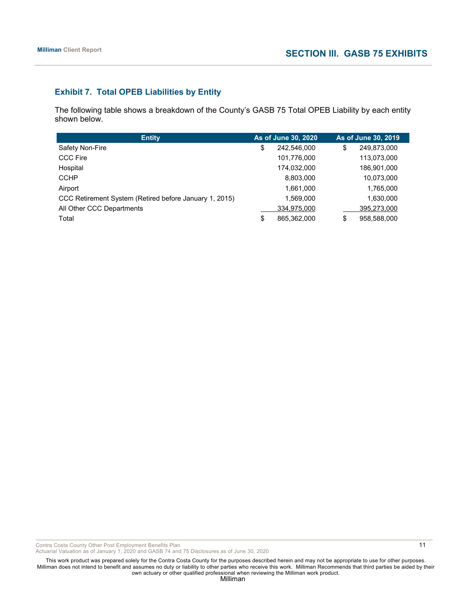# **Exhibit 7. Total OPEB Liabilities by Entity**

The following table shows a breakdown of the County's GASB 75 Total OPEB Liability by each entity shown below.

| <b>Entity</b>                                          | As of June 30, 2020 |             | As of June 30, 2019 |
|--------------------------------------------------------|---------------------|-------------|---------------------|
| Safety Non-Fire                                        | \$                  | 242,546,000 | \$<br>249,873,000   |
| <b>CCC Fire</b>                                        |                     | 101,776,000 | 113,073,000         |
| Hospital                                               |                     | 174,032,000 | 186,901,000         |
| <b>CCHP</b>                                            |                     | 8,803,000   | 10,073,000          |
| Airport                                                |                     | 1.661.000   | 1,765,000           |
| CCC Retirement System (Retired before January 1, 2015) |                     | 1.569.000   | 1,630,000           |
| All Other CCC Departments                              |                     | 334,975,000 | 395,273,000         |
| Total                                                  | \$                  | 865,362,000 | \$<br>958,588,000   |

Contra Costa County Other Post Employment Benefits Plan 11 and 11 and 200 and 200 and 200 and 200 and 21 and 200 and 200 and 200 and 200 and 200 and 200 and 200 and 200 and 200 and 200 and 200 and 200 and 200 and 200 and 2

Actuarial Valuation as of January 1, 2020 and GASB 74 and 75 Disclosures as of June 30, 2020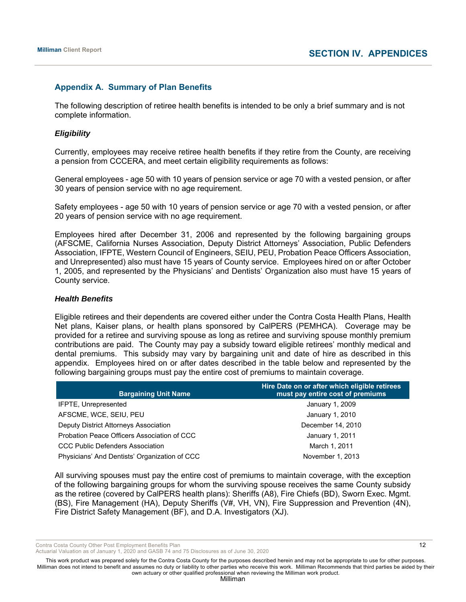# **Appendix A. Summary of Plan Benefits**

The following description of retiree health benefits is intended to be only a brief summary and is not complete information.

#### *Eligibility*

Currently, employees may receive retiree health benefits if they retire from the County, are receiving a pension from CCCERA, and meet certain eligibility requirements as follows:

General employees - age 50 with 10 years of pension service or age 70 with a vested pension, or after 30 years of pension service with no age requirement.

Safety employees - age 50 with 10 years of pension service or age 70 with a vested pension, or after 20 years of pension service with no age requirement.

Employees hired after December 31, 2006 and represented by the following bargaining groups (AFSCME, California Nurses Association, Deputy District Attorneys' Association, Public Defenders Association, IFPTE, Western Council of Engineers, SEIU, PEU, Probation Peace Officers Association, and Unrepresented) also must have 15 years of County service. Employees hired on or after October 1, 2005, and represented by the Physicians' and Dentists' Organization also must have 15 years of County service.

#### *Health Benefits*

Eligible retirees and their dependents are covered either under the Contra Costa Health Plans, Health Net plans, Kaiser plans, or health plans sponsored by CalPERS (PEMHCA). Coverage may be provided for a retiree and surviving spouse as long as retiree and surviving spouse monthly premium contributions are paid. The County may pay a subsidy toward eligible retirees' monthly medical and dental premiums. This subsidy may vary by bargaining unit and date of hire as described in this appendix. Employees hired on or after dates described in the table below and represented by the following bargaining groups must pay the entire cost of premiums to maintain coverage.

| <b>Bargaining Unit Name</b>                   | Hire Date on or after which eligible retirees<br>must pay entire cost of premiums |
|-----------------------------------------------|-----------------------------------------------------------------------------------|
| <b>IFPTE, Unrepresented</b>                   | January 1, 2009                                                                   |
| AFSCME, WCE, SEIU, PEU                        | January 1, 2010                                                                   |
| Deputy District Attorneys Association         | December 14, 2010                                                                 |
| Probation Peace Officers Association of CCC   | January 1, 2011                                                                   |
| <b>CCC Public Defenders Association</b>       | March 1, 2011                                                                     |
| Physicians' And Dentists' Organization of CCC | November 1, 2013                                                                  |

All surviving spouses must pay the entire cost of premiums to maintain coverage, with the exception of the following bargaining groups for whom the surviving spouse receives the same County subsidy as the retiree (covered by CalPERS health plans): Sheriffs (A8), Fire Chiefs (BD), Sworn Exec. Mgmt. (BS), Fire Management (HA), Deputy Sheriffs (V#, VH, VN), Fire Suppression and Prevention (4N), Fire District Safety Management (BF), and D.A. Investigators (XJ).

Contra Costa County Other Post Employment Benefits Plan 12 and 12 and 12 and 12 and 12 and 12 and 12 and 12 and 12 and 12 and 12 and 12 and 12 and 12 and 12 and 12 and 12 and 12 and 12 and 12 and 12 and 12 and 12 and 12 an

Actuarial Valuation as of January 1, 2020 and GASB 74 and 75 Disclosures as of June 30, 2020

This work product was prepared solely for the Contra Costa County for the purposes described herein and may not be appropriate to use for other purposes. Milliman does not intend to benefit and assumes no duty or liability to other parties who receive this work. Milliman Recommends that third parties be aided by their own actuary or other qualified professional when reviewing the Milliman work product.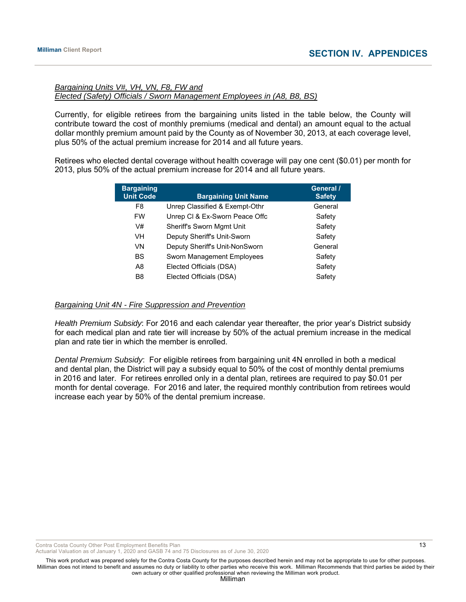# *Bargaining Units V#, VH, VN, F8, FW and Elected (Safety) Officials / Sworn Management Employees in (A8, B8, BS)*

Currently, for eligible retirees from the bargaining units listed in the table below, the County will contribute toward the cost of monthly premiums (medical and dental) an amount equal to the actual dollar monthly premium amount paid by the County as of November 30, 2013, at each coverage level, plus 50% of the actual premium increase for 2014 and all future years.

Retirees who elected dental coverage without health coverage will pay one cent (\$0.01) per month for 2013, plus 50% of the actual premium increase for 2014 and all future years.

| <b>Bargaining</b><br><b>Unit Code</b> | <b>Bargaining Unit Name</b>      | General /<br><b>Safety</b> |
|---------------------------------------|----------------------------------|----------------------------|
| F <sub>8</sub>                        | Unrep Classified & Exempt-Othr   | General                    |
| <b>FW</b>                             | Unrep CI & Ex-Sworn Peace Offc   | Safety                     |
| V#                                    | <b>Sheriff's Sworn Mgmt Unit</b> | Safety                     |
| VH                                    | Deputy Sheriff's Unit-Sworn      | Safety                     |
| VN                                    | Deputy Sheriff's Unit-NonSworn   | General                    |
| <b>BS</b>                             | Sworn Management Employees       | Safety                     |
| A8                                    | Elected Officials (DSA)          | Safety                     |
| B <sub>8</sub>                        | Elected Officials (DSA)          | Safety                     |

#### *Bargaining Unit 4N - Fire Suppression and Prevention*

*Health Premium Subsidy*: For 2016 and each calendar year thereafter, the prior year's District subsidy for each medical plan and rate tier will increase by 50% of the actual premium increase in the medical plan and rate tier in which the member is enrolled.

*Dental Premium Subsidy*: For eligible retirees from bargaining unit 4N enrolled in both a medical and dental plan, the District will pay a subsidy equal to 50% of the cost of monthly dental premiums in 2016 and later. For retirees enrolled only in a dental plan, retirees are required to pay \$0.01 per month for dental coverage. For 2016 and later, the required monthly contribution from retirees would increase each year by 50% of the dental premium increase.

Contra Costa County Other Post Employment Benefits Plan 13 and 13 and 13 and 13 and 13 and 13 and 13 and 13 and 13 and 13 and 13 and 13 and 13 and 13 and 13 and 13 and 13 and 13 and 13 and 13 and 13 and 13 and 13 and 13 an

Actuarial Valuation as of January 1, 2020 and GASB 74 and 75 Disclosures as of June 30, 2020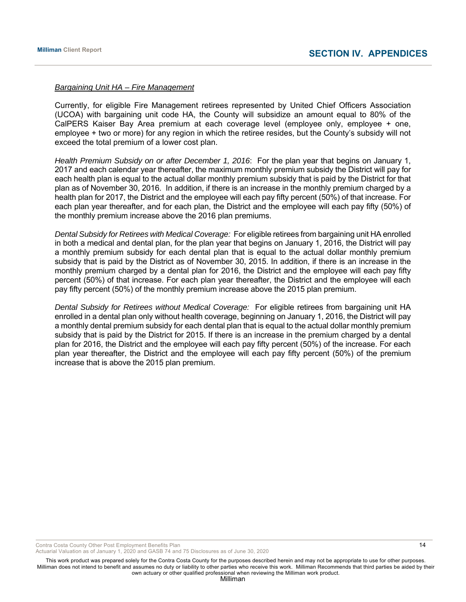#### *Bargaining Unit HA – Fire Management*

Currently, for eligible Fire Management retirees represented by United Chief Officers Association (UCOA) with bargaining unit code HA, the County will subsidize an amount equal to 80% of the CalPERS Kaiser Bay Area premium at each coverage level (employee only, employee + one, employee + two or more) for any region in which the retiree resides, but the County's subsidy will not exceed the total premium of a lower cost plan.

*Health Premium Subsidy on or after December 1, 2016*: For the plan year that begins on January 1, 2017 and each calendar year thereafter, the maximum monthly premium subsidy the District will pay for each health plan is equal to the actual dollar monthly premium subsidy that is paid by the District for that plan as of November 30, 2016. In addition, if there is an increase in the monthly premium charged by a health plan for 2017, the District and the employee will each pay fifty percent (50%) of that increase. For each plan year thereafter, and for each plan, the District and the employee will each pay fifty (50%) of the monthly premium increase above the 2016 plan premiums.

*Dental Subsidy for Retirees with Medical Coverage:* For eligible retirees from bargaining unit HA enrolled in both a medical and dental plan, for the plan year that begins on January 1, 2016, the District will pay a monthly premium subsidy for each dental plan that is equal to the actual dollar monthly premium subsidy that is paid by the District as of November 30, 2015. In addition, if there is an increase in the monthly premium charged by a dental plan for 2016, the District and the employee will each pay fifty percent (50%) of that increase. For each plan year thereafter, the District and the employee will each pay fifty percent (50%) of the monthly premium increase above the 2015 plan premium.

*Dental Subsidy for Retirees without Medical Coverage:* For eligible retirees from bargaining unit HA enrolled in a dental plan only without health coverage, beginning on January 1, 2016, the District will pay a monthly dental premium subsidy for each dental plan that is equal to the actual dollar monthly premium subsidy that is paid by the District for 2015. If there is an increase in the premium charged by a dental plan for 2016, the District and the employee will each pay fifty percent (50%) of the increase. For each plan year thereafter, the District and the employee will each pay fifty percent (50%) of the premium increase that is above the 2015 plan premium.

Contra Costa County Other Post Employment Benefits Plan 14 and 2008 12 and 2008 12 and 2008 12 and 2008 12 and 2008 12

Actuarial Valuation as of January 1, 2020 and GASB 74 and 75 Disclosures as of June 30, 2020

This work product was prepared solely for the Contra Costa County for the purposes described herein and may not be appropriate to use for other purposes. Milliman does not intend to benefit and assumes no duty or liability to other parties who receive this work. Milliman Recommends that third parties be aided by their own actuary or other qualified professional when reviewing the Milliman work product.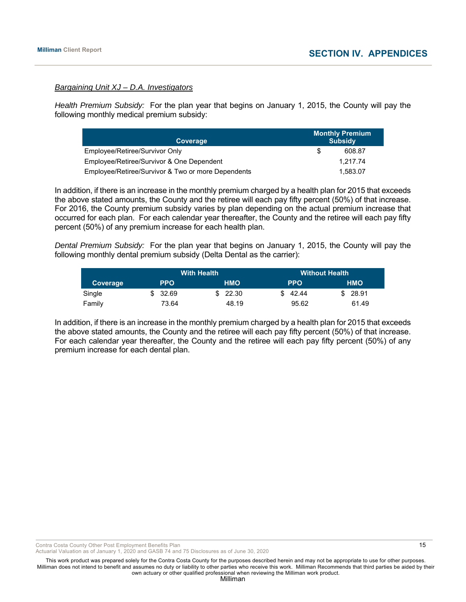#### *Bargaining Unit XJ – D.A. Investigators*

*Health Premium Subsidy:* For the plan year that begins on January 1, 2015, the County will pay the following monthly medical premium subsidy:

| Coverage                                           |     | <b>Monthly Premium</b><br><b>Subsidy</b> |
|----------------------------------------------------|-----|------------------------------------------|
| Employee/Retiree/Survivor Only                     | \$. | 608.87                                   |
| Employee/Retiree/Survivor & One Dependent          |     | 1.217.74                                 |
| Employee/Retiree/Survivor & Two or more Dependents |     | 1.583.07                                 |

In addition, if there is an increase in the monthly premium charged by a health plan for 2015 that exceeds the above stated amounts, the County and the retiree will each pay fifty percent (50%) of that increase. For 2016, the County premium subsidy varies by plan depending on the actual premium increase that occurred for each plan. For each calendar year thereafter, the County and the retiree will each pay fifty percent (50%) of any premium increase for each health plan.

*Dental Premium Subsidy:* For the plan year that begins on January 1, 2015, the County will pay the following monthly dental premium subsidy (Delta Dental as the carrier):

|          | <b>With Health</b> |  |            |     | <b>Without Health</b> |  |            |  |
|----------|--------------------|--|------------|-----|-----------------------|--|------------|--|
| Coverage | <b>PPO</b>         |  | <b>HMO</b> |     | <b>PPO</b>            |  | <b>HMO</b> |  |
| Single   | \$32.69            |  | \$22.30    | SS. | 42.44                 |  | \$28.91    |  |
| Family   | 73.64              |  | 48.19      |     | 95.62                 |  | 61.49      |  |

In addition, if there is an increase in the monthly premium charged by a health plan for 2015 that exceeds the above stated amounts, the County and the retiree will each pay fifty percent (50%) of that increase. For each calendar year thereafter, the County and the retiree will each pay fifty percent (50%) of any premium increase for each dental plan.

Contra Costa County Other Post Employment Benefits Plan 15

Actuarial Valuation as of January 1, 2020 and GASB 74 and 75 Disclosures as of June 30, 2020

This work product was prepared solely for the Contra Costa County for the purposes described herein and may not be appropriate to use for other purposes. Milliman does not intend to benefit and assumes no duty or liability to other parties who receive this work. Milliman Recommends that third parties be aided by their own actuary or other qualified professional when reviewing the Milliman work product.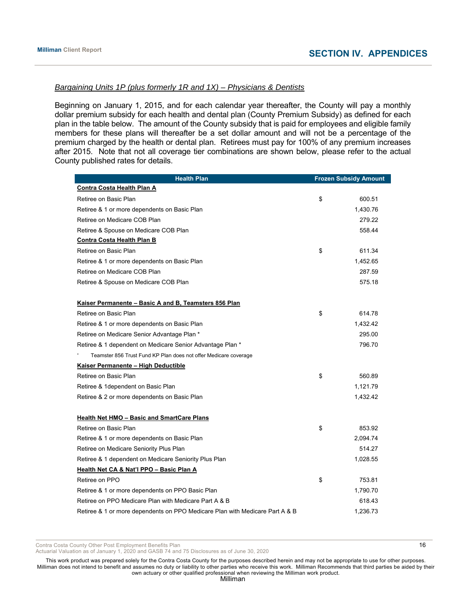# *Bargaining Units 1P (plus formerly 1R and 1X) – Physicians & Dentists*

Beginning on January 1, 2015, and for each calendar year thereafter, the County will pay a monthly dollar premium subsidy for each health and dental plan (County Premium Subsidy) as defined for each plan in the table below. The amount of the County subsidy that is paid for employees and eligible family members for these plans will thereafter be a set dollar amount and will not be a percentage of the premium charged by the health or dental plan. Retirees must pay for 100% of any premium increases after 2015. Note that not all coverage tier combinations are shown below, please refer to the actual County published rates for details.

| <b>Health Plan</b>                                                           | <b>Frozen Subsidy Amount</b> |
|------------------------------------------------------------------------------|------------------------------|
| <b>Contra Costa Health Plan A</b>                                            |                              |
| Retiree on Basic Plan                                                        | \$<br>600.51                 |
| Retiree & 1 or more dependents on Basic Plan                                 | 1,430.76                     |
| Retiree on Medicare COB Plan                                                 | 279.22                       |
| Retiree & Spouse on Medicare COB Plan                                        | 558.44                       |
| <b>Contra Costa Health Plan B</b>                                            |                              |
| Retiree on Basic Plan                                                        | \$<br>611.34                 |
| Retiree & 1 or more dependents on Basic Plan                                 | 1,452.65                     |
| Retiree on Medicare COB Plan                                                 | 287.59                       |
| Retiree & Spouse on Medicare COB Plan                                        | 575.18                       |
|                                                                              |                              |
| Kaiser Permanente - Basic A and B, Teamsters 856 Plan                        |                              |
| Retiree on Basic Plan                                                        | \$<br>614.78                 |
| Retiree & 1 or more dependents on Basic Plan                                 | 1,432.42                     |
| Retiree on Medicare Senior Advantage Plan *                                  | 295.00                       |
| Retiree & 1 dependent on Medicare Senior Advantage Plan *                    | 796.70                       |
| Teamster 856 Trust Fund KP Plan does not offer Medicare coverage             |                              |
| Kaiser Permanente - High Deductible                                          |                              |
| Retiree on Basic Plan                                                        | \$<br>560.89                 |
| Retiree & 1dependent on Basic Plan                                           | 1,121.79                     |
| Retiree & 2 or more dependents on Basic Plan                                 | 1,432.42                     |
|                                                                              |                              |
| <b>Health Net HMO - Basic and SmartCare Plans</b>                            |                              |
| Retiree on Basic Plan                                                        | \$<br>853.92                 |
| Retiree & 1 or more dependents on Basic Plan                                 | 2,094.74                     |
| Retiree on Medicare Seniority Plus Plan                                      | 514.27                       |
| Retiree & 1 dependent on Medicare Seniority Plus Plan                        | 1,028.55                     |
| Health Net CA & Nat'l PPO - Basic Plan A                                     |                              |
| Retiree on PPO                                                               | \$<br>753.81                 |
| Retiree & 1 or more dependents on PPO Basic Plan                             | 1,790.70                     |
| Retiree on PPO Medicare Plan with Medicare Part A & B                        | 618.43                       |
| Retiree & 1 or more dependents on PPO Medicare Plan with Medicare Part A & B | 1,236.73                     |

Contra Costa County Other Post Employment Benefits Plan 16 and 16 and 16 and 16 and 16 and 16 and 16 and 16 and 16 and 16 and 16 and 16 and 16 and 16 and 16 and 16 and 16 and 16 and 16 and 16 and 16 and 16 and 16 and 16 an

Actuarial Valuation as of January 1, 2020 and GASB 74 and 75 Disclosures as of June 30, 2020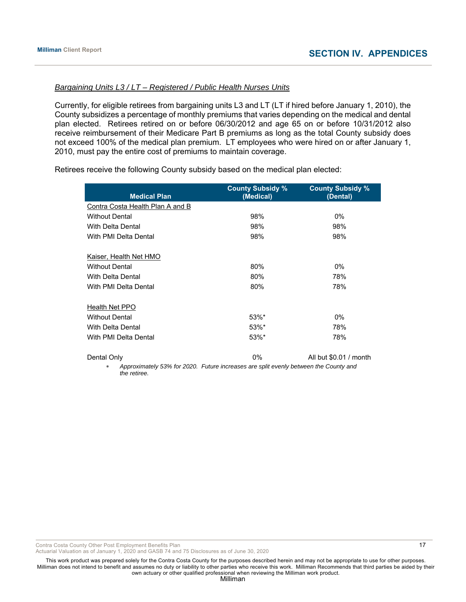# *Bargaining Units L3 / LT – Registered / Public Health Nurses Units*

Currently, for eligible retirees from bargaining units L3 and LT (LT if hired before January 1, 2010), the County subsidizes a percentage of monthly premiums that varies depending on the medical and dental plan elected. Retirees retired on or before 06/30/2012 and age 65 on or before 10/31/2012 also receive reimbursement of their Medicare Part B premiums as long as the total County subsidy does not exceed 100% of the medical plan premium. LT employees who were hired on or after January 1, 2010, must pay the entire cost of premiums to maintain coverage.

Retirees receive the following County subsidy based on the medical plan elected:

| <b>Medical Plan</b>              | <b>County Subsidy %</b><br>(Medical)                                                 | <b>County Subsidy %</b><br>(Dental) |
|----------------------------------|--------------------------------------------------------------------------------------|-------------------------------------|
| Contra Costa Health Plan A and B |                                                                                      |                                     |
| <b>Without Dental</b>            | 98%                                                                                  | 0%                                  |
| With Delta Dental                | 98%                                                                                  | 98%                                 |
| With PMI Delta Dental            | 98%                                                                                  | 98%                                 |
| Kaiser, Health Net HMO           |                                                                                      |                                     |
| <b>Without Dental</b>            | 80%                                                                                  | 0%                                  |
| With Delta Dental                | 80%                                                                                  | 78%                                 |
| With PMI Delta Dental            | 80%                                                                                  | 78%                                 |
| Health Net PPO                   |                                                                                      |                                     |
| <b>Without Dental</b>            | $53\%$ *                                                                             | 0%                                  |
| <b>With Delta Dental</b>         | 53%*                                                                                 | 78%                                 |
| With PMI Delta Dental            | 53%*                                                                                 | 78%                                 |
| Dental Only                      | $0\%$                                                                                | All but \$0.01 / month              |
| *<br>the retiree.                | Approximately 53% for 2020. Future increases are split evenly between the County and |                                     |

Contra Costa County Other Post Employment Benefits Plan 17 and 17 and 17 and 17 and 17 and 17 and 17 and 17 and 17 and 17 and 17 and 17 and 17 and 17 and 17 and 17 and 17 and 17 and 17 and 17 and 17 and 17 and 17 and 18 an

Actuarial Valuation as of January 1, 2020 and GASB 74 and 75 Disclosures as of June 30, 2020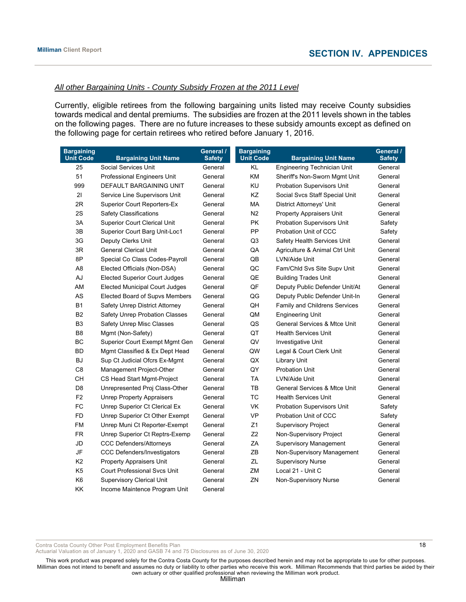# *All other Bargaining Units - County Subsidy Frozen at the 2011 Level*

Currently, eligible retirees from the following bargaining units listed may receive County subsidies towards medical and dental premiums. The subsidies are frozen at the 2011 levels shown in the tables on the following pages. There are no future increases to these subsidy amounts except as defined on the following page for certain retirees who retired before January 1, 2016.

| <b>Bargaining</b><br><b>Unit Code</b> | <b>Bargaining Unit Name</b>           | General /<br><b>Safety</b> | <b>Bargaining</b><br><b>Unit Code</b> | <b>Bargaining Unit Name</b>             | General /<br><b>Safety</b> |
|---------------------------------------|---------------------------------------|----------------------------|---------------------------------------|-----------------------------------------|----------------------------|
| 25                                    | Social Services Unit                  | General                    | KL                                    | <b>Engineering Technician Unit</b>      | General                    |
| 51                                    | Professional Engineers Unit           | General                    | <b>KM</b>                             | Sheriff's Non-Sworn Mgmt Unit           | General                    |
| 999                                   | DEFAULT BARGAINING UNIT               | General                    | KU                                    | <b>Probation Supervisors Unit</b>       | General                    |
| 21                                    | Service Line Supervisors Unit         | General                    | KZ                                    | Social Svcs Staff Special Unit          | General                    |
| 2R                                    | <b>Superior Court Reporters-Ex</b>    | General                    | МA                                    | <b>District Attorneys' Unit</b>         | General                    |
| 2S                                    | <b>Safety Classifications</b>         | General                    | N <sub>2</sub>                        | <b>Property Appraisers Unit</b>         | General                    |
| 3A                                    | <b>Superior Court Clerical Unit</b>   | General                    | <b>PK</b>                             | <b>Probation Supervisors Unit</b>       | Safety                     |
| 3B                                    | Superior Court Barg Unit-Loc1         | General                    | PP                                    | Probation Unit of CCC                   | Safety                     |
| 3G                                    | Deputy Clerks Unit                    | General                    | Q <sub>3</sub>                        | Safety Health Services Unit             | General                    |
| 3R                                    | <b>General Clerical Unit</b>          | General                    | QA                                    | Agriculture & Animal Ctrl Unit          | General                    |
| 8P                                    | Special Co Class Codes-Payroll        | General                    | QB                                    | LVN/Aide Unit                           | General                    |
| A <sub>8</sub>                        | Elected Officials (Non-DSA)           | General                    | QC                                    | Fam/Chld Svs Site Supv Unit             | General                    |
| AJ                                    | <b>Elected Superior Court Judges</b>  | General                    | QE                                    | <b>Building Trades Unit</b>             | General                    |
| AM                                    | <b>Elected Municipal Court Judges</b> | General                    | QF                                    | Deputy Public Defender Unit/At          | General                    |
| AS                                    | Elected Board of Supvs Members        | General                    | QG                                    | Deputy Public Defender Unit-In          | General                    |
| <b>B1</b>                             | Safety Unrep District Attorney        | General                    | QH                                    | <b>Family and Childrens Services</b>    | General                    |
| B <sub>2</sub>                        | <b>Safety Unrep Probation Classes</b> | General                    | QM                                    | <b>Engineering Unit</b>                 | General                    |
| B <sub>3</sub>                        | Safety Unrep Misc Classes             | General                    | QS                                    | <b>General Services &amp; Mtce Unit</b> | General                    |
| B8                                    | Mgmt (Non-Safety)                     | General                    | QT                                    | <b>Health Services Unit</b>             | General                    |
| BC                                    | <b>Superior Court Exempt Mgmt Gen</b> | General                    | QV                                    | Investigative Unit                      | General                    |
| <b>BD</b>                             | Mgmt Classified & Ex Dept Head        | General                    | QW                                    | Legal & Court Clerk Unit                | General                    |
| <b>BJ</b>                             | Sup Ct Judicial Ofcrs Ex-Mgmt         | General                    | QX                                    | <b>Library Unit</b>                     | General                    |
| C <sub>8</sub>                        | Management Project-Other              | General                    | QY                                    | <b>Probation Unit</b>                   | General                    |
| CH                                    | CS Head Start Mgmt-Project            | General                    | TA                                    | LVN/Aide Unit                           | General                    |
| D <sub>8</sub>                        | Unrepresented Proj Class-Other        | General                    | TB                                    | <b>General Services &amp; Mtce Unit</b> | General                    |
| F <sub>2</sub>                        | Unrep Property Appraisers             | General                    | <b>TC</b>                             | <b>Health Services Unit</b>             | General                    |
| <b>FC</b>                             | Unrep Superior Ct Clerical Ex         | General                    | <b>VK</b>                             | <b>Probation Supervisors Unit</b>       | Safety                     |
| <b>FD</b>                             | Unrep Superior Ct Other Exempt        | General                    | <b>VP</b>                             | Probation Unit of CCC                   | Safety                     |
| FM                                    | Unrep Muni Ct Reporter-Exempt         | General                    | Z1                                    | <b>Supervisory Project</b>              | General                    |
| <b>FR</b>                             | Unrep Superior Ct Reptrs-Exemp        | General                    | Z <sub>2</sub>                        | Non-Supervisory Project                 | General                    |
| JD                                    | <b>CCC Defenders/Attorneys</b>        | General                    | ZA                                    | <b>Supervisory Management</b>           | General                    |
| JF                                    | <b>CCC Defenders/Investigators</b>    | General                    | ZB                                    | Non-Supervisory Management              | General                    |
| K <sub>2</sub>                        | Property Appraisers Unit              | General                    | ZL                                    | <b>Supervisory Nurse</b>                | General                    |
| K <sub>5</sub>                        | <b>Court Professional Svcs Unit</b>   | General                    | ZM                                    | Local 21 - Unit C                       | General                    |
| K <sub>6</sub>                        | <b>Supervisory Clerical Unit</b>      | General                    | ΖN                                    | Non-Supervisory Nurse                   | General                    |
| <b>KK</b>                             | Income Maintence Program Unit         | General                    |                                       |                                         |                            |

Contra Costa County Other Post Employment Benefits Plan 18 and 18 and 18 and 18 and 18 and 18 and 18 and 18 and 18 and 18 and 18 and 18 and 18 and 18 and 18 and 18 and 18 and 18 and 18 and 18 and 18 and 18 and 18 and 18 an

Actuarial Valuation as of January 1, 2020 and GASB 74 and 75 Disclosures as of June 30, 2020

This work product was prepared solely for the Contra Costa County for the purposes described herein and may not be appropriate to use for other purposes. Milliman does not intend to benefit and assumes no duty or liability to other parties who receive this work. Milliman Recommends that third parties be aided by their own actuary or other qualified professional when reviewing the Milliman work product.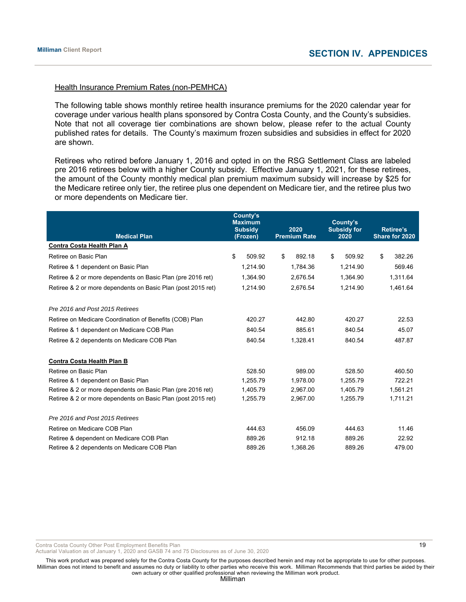#### Health Insurance Premium Rates (non-PEMHCA)

The following table shows monthly retiree health insurance premiums for the 2020 calendar year for coverage under various health plans sponsored by Contra Costa County, and the County's subsidies. Note that not all coverage tier combinations are shown below, please refer to the actual County published rates for details. The County's maximum frozen subsidies and subsidies in effect for 2020 are shown.

Retirees who retired before January 1, 2016 and opted in on the RSG Settlement Class are labeled pre 2016 retirees below with a higher County subsidy. Effective January 1, 2021, for these retirees, the amount of the County monthly medical plan premium maximum subsidy will increase by \$25 for the Medicare retiree only tier, the retiree plus one dependent on Medicare tier, and the retiree plus two or more dependents on Medicare tier.

| <b>Medical Plan</b>                                          | County's<br><b>Maximum</b><br><b>Subsidy</b><br>(Frozen) |          | 2020<br><b>Premium Rate</b> |          | County's<br><b>Subsidy for</b><br>2020 |          | <b>Retiree's</b><br>Share for 2020 |          |
|--------------------------------------------------------------|----------------------------------------------------------|----------|-----------------------------|----------|----------------------------------------|----------|------------------------------------|----------|
| Contra Costa Health Plan A                                   |                                                          |          |                             |          |                                        |          |                                    |          |
| Retiree on Basic Plan                                        | \$                                                       | 509.92   | \$                          | 892.18   | \$                                     | 509.92   | \$                                 | 382.26   |
| Retiree & 1 dependent on Basic Plan                          |                                                          | 1.214.90 |                             | 1.784.36 |                                        | 1.214.90 |                                    | 569.46   |
| Retiree & 2 or more dependents on Basic Plan (pre 2016 ret)  |                                                          | 1,364.90 |                             | 2,676.54 |                                        | 1,364.90 |                                    | 1,311.64 |
| Retiree & 2 or more dependents on Basic Plan (post 2015 ret) |                                                          | 1,214.90 |                             | 2,676.54 | 1,214.90                               |          |                                    | 1,461.64 |
| Pre 2016 and Post 2015 Retirees                              |                                                          |          |                             |          |                                        |          |                                    |          |
| Retiree on Medicare Coordination of Benefits (COB) Plan      | 420.27                                                   |          | 442.80                      |          | 420.27                                 |          | 22.53                              |          |
| Retiree & 1 dependent on Medicare COB Plan                   | 840.54                                                   |          | 885.61                      |          | 840.54                                 |          | 45.07                              |          |
| Retiree & 2 dependents on Medicare COB Plan                  |                                                          | 840.54   |                             | 1,328.41 |                                        | 840.54   |                                    | 487.87   |
| <b>Contra Costa Health Plan B</b>                            |                                                          |          |                             |          |                                        |          |                                    |          |
| Retiree on Basic Plan                                        |                                                          | 528.50   |                             | 989.00   |                                        | 528.50   |                                    | 460.50   |
| Retiree & 1 dependent on Basic Plan                          |                                                          | 1.255.79 |                             | 1.978.00 |                                        | 1.255.79 |                                    | 722.21   |
| Retiree & 2 or more dependents on Basic Plan (pre 2016 ret)  |                                                          | 1,405.79 |                             | 2,967.00 |                                        | 1,405.79 |                                    | 1,561.21 |
| Retiree & 2 or more dependents on Basic Plan (post 2015 ret) |                                                          | 1,255.79 |                             | 2,967.00 |                                        | 1,255.79 |                                    | 1,711.21 |
| Pre 2016 and Post 2015 Retirees                              |                                                          |          |                             |          |                                        |          |                                    |          |
| Retiree on Medicare COB Plan                                 |                                                          | 444.63   |                             | 456.09   |                                        | 444.63   |                                    | 11.46    |
| Retiree & dependent on Medicare COB Plan                     |                                                          | 889.26   |                             | 912.18   |                                        | 889.26   |                                    | 22.92    |
| Retiree & 2 dependents on Medicare COB Plan                  |                                                          | 889.26   |                             | 1,368.26 |                                        | 889.26   |                                    | 479.00   |

Contra Costa County Other Post Employment Benefits Plan 19 and 19 and 19 and 19 and 19 and 19 and 19 and 19 and 19 and 19 and 19 and 19 and 19 and 19 and 19 and 19 and 19 and 19 and 19 and 19 and 19 and 19 and 19 and 19 an

Actuarial Valuation as of January 1, 2020 and GASB 74 and 75 Disclosures as of June 30, 2020

This work product was prepared solely for the Contra Costa County for the purposes described herein and may not be appropriate to use for other purposes. Milliman does not intend to benefit and assumes no duty or liability to other parties who receive this work. Milliman Recommends that third parties be aided by their own actuary or other qualified professional when reviewing the Milliman work product.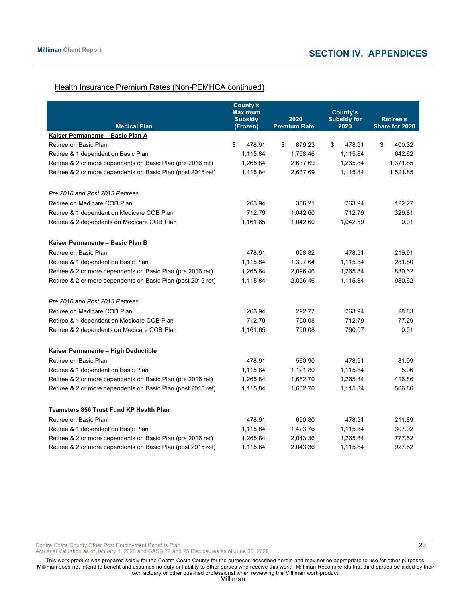# Health Insurance Premium Rates (Non-PEMHCA continued)

| <b>Medical Plan</b>                                          | <b>County's</b><br><b>Maximum</b><br><b>Subsidy</b><br>(Frozen) | 2020<br><b>Premium Rate</b> | County's<br><b>Subsidy for</b><br>2020 | <b>Retiree's</b><br>Share for 2020 |  |
|--------------------------------------------------------------|-----------------------------------------------------------------|-----------------------------|----------------------------------------|------------------------------------|--|
| Kaiser Permanente - Basic Plan A                             |                                                                 |                             |                                        |                                    |  |
| Retiree on Basic Plan                                        | \$<br>478.91                                                    | \$<br>879.23                | \$<br>478.91                           | \$<br>400.32                       |  |
| Retiree & 1 dependent on Basic Plan                          | 1,115.84                                                        | 1,758.46                    | 1,115.84                               | 642.62                             |  |
| Retiree & 2 or more dependents on Basic Plan (pre 2016 ret)  | 1,265.84                                                        | 2,637.69                    | 1,265.84                               | 1,371.85                           |  |
| Retiree & 2 or more dependents on Basic Plan (post 2015 ret) | 1,115.84                                                        | 2,637.69                    | 1,115.84                               | 1,521.85                           |  |
| Pre 2016 and Post 2015 Retirees                              |                                                                 |                             |                                        |                                    |  |
| Retiree on Medicare COB Plan                                 | 263.94                                                          | 386.21                      | 263.94                                 | 122.27                             |  |
| Retiree & 1 dependent on Medicare COB Plan                   | 712.79                                                          | 1,042.60                    | 712.79                                 | 329.81                             |  |
| Retiree & 2 dependents on Medicare COB Plan                  | 1,161.65                                                        | 1,042.60                    | 1,042.59                               | 0.01                               |  |
| Kaiser Permanente - Basic Plan B                             |                                                                 |                             |                                        |                                    |  |
| Retiree on Basic Plan                                        | 478.91                                                          | 698.82                      | 478.91                                 | 219.91                             |  |
| Retiree & 1 dependent on Basic Plan                          | 1,115.84                                                        | 1,397.64                    | 1,115.84                               | 281.80                             |  |
| Retiree & 2 or more dependents on Basic Plan (pre 2016 ret)  | 1,265.84                                                        | 2,096.46                    | 1,265.84                               | 830.62                             |  |
| Retiree & 2 or more dependents on Basic Plan (post 2015 ret) | 1,115.84                                                        | 2,096.46                    | 1,115.84                               | 980.62                             |  |
| Pre 2016 and Post 2015 Retirees                              |                                                                 |                             |                                        |                                    |  |
| Retiree on Medicare COB Plan                                 | 263.94                                                          | 292.77                      | 263.94                                 | 28.83                              |  |
| Retiree & 1 dependent on Medicare COB Plan                   | 712.79                                                          | 790.08                      | 712.79                                 | 77.29                              |  |
| Retiree & 2 dependents on Medicare COB Plan                  | 1,161.65                                                        | 790.08                      | 790.07                                 | 0.01                               |  |
| Kaiser Permanente - High Deductible                          |                                                                 |                             |                                        |                                    |  |
| Retiree on Basic Plan                                        | 478.91                                                          | 560.90                      | 478.91                                 | 81.99                              |  |
| Retiree & 1 dependent on Basic Plan                          | 1,115.84                                                        | 1,121.80                    | 1,115.84                               | 5.96                               |  |
| Retiree & 2 or more dependents on Basic Plan (pre 2016 ret)  | 1,265.84                                                        | 1,682.70                    | 1,265.84                               | 416.86                             |  |
| Retiree & 2 or more dependents on Basic Plan (post 2015 ret) | 1,115.84                                                        | 1,682.70                    | 1,115.84                               | 566.86                             |  |
| <u>Teamsters 856 Trust Fund KP Health Plan</u>               |                                                                 |                             |                                        |                                    |  |
| Retiree on Basic Plan                                        | 478.91                                                          | 690.80                      | 478.91                                 | 211.89                             |  |
| Retiree & 1 dependent on Basic Plan                          | 1,115.84                                                        | 1,423.76                    | 1,115.84                               | 307.92                             |  |
| Retiree & 2 or more dependents on Basic Plan (pre 2016 ret)  | 1,265.84                                                        | 2,043.36                    | 1,265.84                               | 777.52                             |  |
| Retiree & 2 or more dependents on Basic Plan (post 2015 ret) | 1,115.84                                                        | 2,043.36                    | 1,115.84                               | 927.52                             |  |

Contra Costa County Other Post Employment Benefits Plan 20 and the contract of the contract of the contract of the contract of the contract of the contract of the contract of the contract of the contract of the contract of

Actuarial Valuation as of January 1, 2020 and GASB 74 and 75 Disclosures as of June 30, 2020

This work product was prepared solely for the Contra Costa County for the purposes described herein and may not be appropriate to use for other purposes. Milliman does not intend to benefit and assumes no duty or liability to other parties who receive this work. Milliman Recommends that third parties be aided by their own actuary or other qualified professional when reviewing the Milliman work product.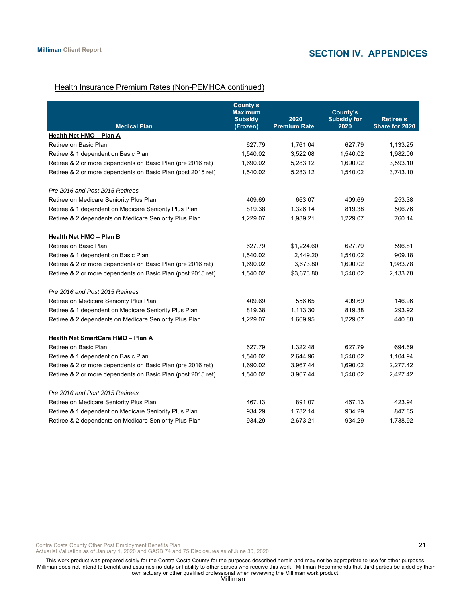#### Health Insurance Premium Rates (Non-PEMHCA continued)

| <b>Medical Plan</b>                                          | County's<br><b>Maximum</b><br><b>Subsidy</b><br>(Frozen) | 2020<br><b>Premium Rate</b> | County's<br><b>Subsidy for</b><br>2020 | <b>Retiree's</b><br>Share for 2020 |
|--------------------------------------------------------------|----------------------------------------------------------|-----------------------------|----------------------------------------|------------------------------------|
| Health Net HMO - Plan A                                      |                                                          |                             |                                        |                                    |
| Retiree on Basic Plan                                        | 627.79                                                   | 1,761.04                    | 627.79                                 | 1,133.25                           |
| Retiree & 1 dependent on Basic Plan                          | 1,540.02                                                 | 3,522.08                    | 1,540.02                               | 1,982.06                           |
| Retiree & 2 or more dependents on Basic Plan (pre 2016 ret)  | 1,690.02                                                 | 5,283.12                    | 1,690.02                               | 3,593.10                           |
| Retiree & 2 or more dependents on Basic Plan (post 2015 ret) | 1,540.02                                                 | 5,283.12                    | 1,540.02                               | 3,743.10                           |
| Pre 2016 and Post 2015 Retirees                              |                                                          |                             |                                        |                                    |
| Retiree on Medicare Seniority Plus Plan                      | 409.69                                                   | 663.07                      | 409.69                                 | 253.38                             |
| Retiree & 1 dependent on Medicare Seniority Plus Plan        | 819.38                                                   | 1,326.14                    | 819.38                                 | 506.76                             |
| Retiree & 2 dependents on Medicare Seniority Plus Plan       | 1,229.07                                                 | 1,989.21                    | 1,229.07                               | 760.14                             |
| <b>Health Net HMO - Plan B</b>                               |                                                          |                             |                                        |                                    |
| Retiree on Basic Plan                                        | 627.79                                                   | \$1,224.60                  | 627.79                                 | 596.81                             |
| Retiree & 1 dependent on Basic Plan                          | 1,540.02                                                 | 2,449.20                    | 1,540.02                               | 909.18                             |
| Retiree & 2 or more dependents on Basic Plan (pre 2016 ret)  | 1,690.02                                                 | 3,673.80                    | 1,690.02                               | 1,983.78                           |
| Retiree & 2 or more dependents on Basic Plan (post 2015 ret) | 1,540.02                                                 | \$3,673.80                  | 1,540.02                               | 2,133.78                           |
| Pre 2016 and Post 2015 Retirees                              |                                                          |                             |                                        |                                    |
| Retiree on Medicare Seniority Plus Plan                      | 409.69                                                   | 556.65                      | 409.69                                 | 146.96                             |
| Retiree & 1 dependent on Medicare Seniority Plus Plan        | 819.38                                                   | 1.113.30                    | 819.38                                 | 293.92                             |
| Retiree & 2 dependents on Medicare Seniority Plus Plan       | 1,229.07                                                 | 1,669.95                    | 1,229.07                               | 440.88                             |
| Health Net SmartCare HMO - Plan A                            |                                                          |                             |                                        |                                    |
| Retiree on Basic Plan                                        | 627.79                                                   | 1,322.48                    | 627.79                                 | 694.69                             |
| Retiree & 1 dependent on Basic Plan                          | 1,540.02                                                 | 2,644.96                    | 1,540.02                               | 1,104.94                           |
| Retiree & 2 or more dependents on Basic Plan (pre 2016 ret)  | 1,690.02                                                 | 3,967.44                    | 1,690.02                               | 2,277.42                           |
| Retiree & 2 or more dependents on Basic Plan (post 2015 ret) | 1,540.02                                                 | 3,967.44                    | 1,540.02                               | 2,427.42                           |
| Pre 2016 and Post 2015 Retirees                              |                                                          |                             |                                        |                                    |
| Retiree on Medicare Seniority Plus Plan                      | 467.13                                                   | 891.07                      | 467.13                                 | 423.94                             |
| Retiree & 1 dependent on Medicare Seniority Plus Plan        | 934.29                                                   | 1,782.14                    | 934.29                                 | 847.85                             |
| Retiree & 2 dependents on Medicare Seniority Plus Plan       | 934.29                                                   | 2,673.21                    | 934.29                                 | 1,738.92                           |

Contra Costa County Other Post Employment Benefits Plan 21

Actuarial Valuation as of January 1, 2020 and GASB 74 and 75 Disclosures as of June 30, 2020

This work product was prepared solely for the Contra Costa County for the purposes described herein and may not be appropriate to use for other purposes. Milliman does not intend to benefit and assumes no duty or liability to other parties who receive this work. Milliman Recommends that third parties be aided by their own actuary or other qualified professional when reviewing the Milliman work product.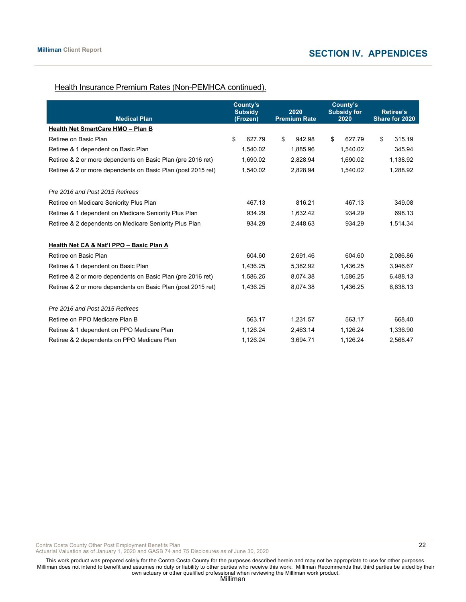# Health Insurance Premium Rates (Non-PEMHCA continued).

| <b>Medical Plan</b>                                          | County's<br><b>Subsidy</b><br>(Frozen) | 2020<br><b>Premium Rate</b> | County's<br><b>Subsidy for</b><br>2020 | Retiree's<br>Share for 2020 |
|--------------------------------------------------------------|----------------------------------------|-----------------------------|----------------------------------------|-----------------------------|
| Health Net SmartCare HMO - Plan B                            |                                        |                             |                                        |                             |
| Retiree on Basic Plan                                        | \$<br>627.79                           | \$<br>942.98                | \$<br>627.79                           | \$<br>315.19                |
| Retiree & 1 dependent on Basic Plan                          | 1,540.02                               | 1,885.96                    | 1,540.02                               | 345.94                      |
| Retiree & 2 or more dependents on Basic Plan (pre 2016 ret)  | 1,690.02                               | 2,828.94                    | 1,690.02                               | 1,138.92                    |
| Retiree & 2 or more dependents on Basic Plan (post 2015 ret) | 1,540.02                               | 2,828.94                    | 1,540.02                               | 1,288.92                    |
| Pre 2016 and Post 2015 Retirees                              |                                        |                             |                                        |                             |
| Retiree on Medicare Seniority Plus Plan                      | 467.13                                 | 816.21                      | 467.13                                 | 349.08                      |
| Retiree & 1 dependent on Medicare Seniority Plus Plan        | 934.29                                 | 1,632.42                    | 934.29                                 | 698.13                      |
| Retiree & 2 dependents on Medicare Seniority Plus Plan       | 934.29                                 | 2,448.63                    | 934.29                                 | 1,514.34                    |
| Health Net CA & Nat'l PPO - Basic Plan A                     |                                        |                             |                                        |                             |
| Retiree on Basic Plan                                        | 604.60                                 | 2,691.46                    | 604.60                                 | 2,086.86                    |
| Retiree & 1 dependent on Basic Plan                          | 1,436.25                               | 5,382.92                    | 1,436.25                               | 3,946.67                    |
| Retiree & 2 or more dependents on Basic Plan (pre 2016 ret)  | 1.586.25                               | 8.074.38                    | 1.586.25                               | 6,488.13                    |
| Retiree & 2 or more dependents on Basic Plan (post 2015 ret) | 1,436.25                               | 8,074.38                    | 1,436.25                               | 6,638.13                    |
| Pre 2016 and Post 2015 Retirees                              |                                        |                             |                                        |                             |
| Retiree on PPO Medicare Plan B                               | 563.17                                 | 1,231.57                    | 563.17                                 | 668.40                      |
| Retiree & 1 dependent on PPO Medicare Plan                   | 1,126.24                               | 2,463.14                    | 1,126.24                               | 1,336.90                    |
| Retiree & 2 dependents on PPO Medicare Plan                  | 1,126.24                               | 3,694.71                    | 1,126.24                               | 2,568.47                    |

Contra Costa County Other Post Employment Benefits Plan 20 and 20 and 22 and 20 and 22 and 22 and 22 and 22 and 22 and 22 and 22 and 22 and 22 and 22 and 22 and 22 and 20 and 22 and 20 and 20 and 20 and 20 and 20 and 20 an

Actuarial Valuation as of January 1, 2020 and GASB 74 and 75 Disclosures as of June 30, 2020

This work product was prepared solely for the Contra Costa County for the purposes described herein and may not be appropriate to use for other purposes. Milliman does not intend to benefit and assumes no duty or liability to other parties who receive this work. Milliman Recommends that third parties be aided by their own actuary or other qualified professional when reviewing the Milliman work product.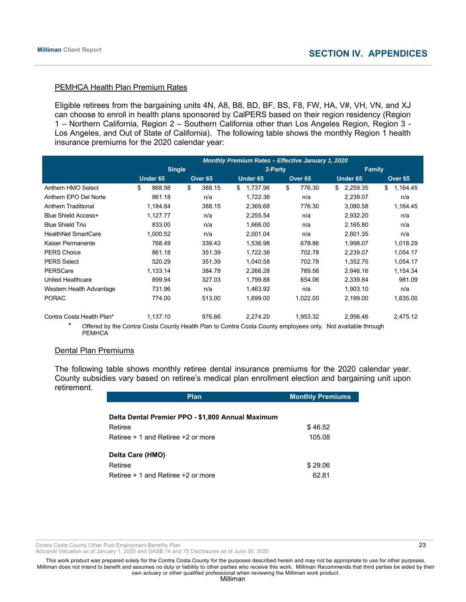# PEMHCA Health Plan Premium Rates

Eligible retirees from the bargaining units 4N, A8, B8, BD, BF, BS, F8, FW, HA, V#, VH, VN, and XJ can choose to enroll in health plans sponsored by CalPERS based on their region residency (Region 1 – Northern California, Region 2 – Southern California other than Los Angeles Region, Region 3 - Los Angeles, and Out of State of California). The following table shows the monthly Region 1 health insurance premiums for the 2020 calendar year:

|                            | <b>Monthly Premium Rates - Effective January 1, 2020</b> |                    |                                       |                          |                    |  |
|----------------------------|----------------------------------------------------------|--------------------|---------------------------------------|--------------------------|--------------------|--|
|                            | <b>Single</b>                                            |                    | 2-Party                               |                          | <b>Family</b>      |  |
|                            | Under 65                                                 | Over <sub>65</sub> | <b>Under 65</b><br>Over <sub>65</sub> | <b>Under 65</b>          | Over <sub>65</sub> |  |
| Anthem HMO Select          | \$<br>868.98                                             | \$<br>388.15       | \$<br>1,737.96<br>\$                  | 776.30<br>2,259.35<br>\$ | \$<br>1,164.45     |  |
| Anthem EPO Del Norte       | 861.18                                                   | n/a                | 1,722.36                              | 2,239.07<br>n/a          | n/a                |  |
| <b>Anthem Traditional</b>  | 1,184.84                                                 | 388.15             | 2,369.68                              | 776.30<br>3,080.58       | 1,164.45           |  |
| <b>Blue Shield Access+</b> | 1,127.77                                                 | n/a                | 2,255.54                              | n/a<br>2,932.20          | n/a                |  |
| <b>Blue Shield Trio</b>    | 833.00                                                   | n/a                | 1,666.00                              | n/a<br>2,165.80          | n/a                |  |
| <b>HealthNet SmartCare</b> | 1,000.52                                                 | n/a                | 2,001.04                              | n/a<br>2,601.35          | n/a                |  |
| Kaiser Permanente          | 768.49                                                   | 339.43             | 1,536.98                              | 1,998.07<br>678.86       | 1,018.29           |  |
| <b>PERS Choice</b>         | 861.18                                                   | 351.39             | 1,722.36                              | 702.78<br>2,239.07       | 1,054.17           |  |
| <b>PERS Select</b>         | 520.29                                                   | 351.39             | 1,040.58                              | 702.78<br>1,352.75       | 1,054.17           |  |
| PERSCare                   | 1,133.14                                                 | 384.78             | 2,266.28                              | 769.56<br>2,946.16       | 1,154.34           |  |
| United Healthcare          | 899.94                                                   | 327.03             | 1,799.88                              | 654.06<br>2,339.84       | 981.09             |  |
| Western Health Advantage   | 731.96                                                   | n/a                | 1,463.92                              | 1,903.10<br>n/a          | n/a                |  |
| <b>PORAC</b>               | 774.00                                                   | 513.00             | 1,699.00                              | 1,022.00<br>2,199.00     | 1,635.00           |  |
| Contra Costa Health Plan*  | 1,137.10                                                 | 976.66             | 2,274.20                              | 1,953.32<br>2,956.46     | 2,475.12           |  |

Offered by the Contra Costa County Health Plan to Contra Costa County employees only. Not available through **PEMHCA** 

#### Dental Plan Premiums

The following table shows monthly retiree dental insurance premiums for the 2020 calendar year. County subsidies vary based on retiree's medical plan enrollment election and bargaining unit upon retirement.

| <b>Plan</b>                                       | <b>Monthly Premiums</b> |
|---------------------------------------------------|-------------------------|
|                                                   |                         |
| Delta Dental Premier PPO - \$1,800 Annual Maximum |                         |
| Retiree                                           | \$46.52                 |
| Retiree + 1 and Retiree +2 or more                | 105.08                  |
|                                                   |                         |
|                                                   |                         |
| Retiree                                           | \$29.06                 |
| Retiree + 1 and Retiree +2 or more                | 62.81                   |
| Delta Care (HMO)                                  |                         |

Contra Costa County Other Post Employment Benefits Plan 23 and 23 and 23 and 23 and 23 and 23 and 23 and 23 and 23 and 23 and 23 and 23 and 23 and 23 and 23 and 23 and 23 and 2012 12:30 and 2012 12:30 and 2012 12:30 and 20

Actuarial Valuation as of January 1, 2020 and GASB 74 and 75 Disclosures as of June 30, 2020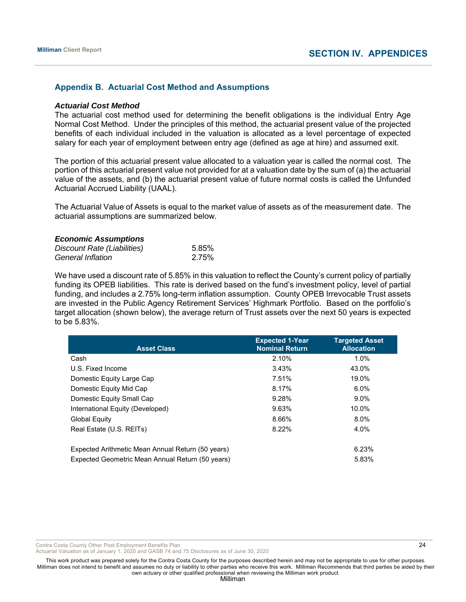#### **Appendix B. Actuarial Cost Method and Assumptions**

#### *Actuarial Cost Method*

The actuarial cost method used for determining the benefit obligations is the individual Entry Age Normal Cost Method. Under the principles of this method, the actuarial present value of the projected benefits of each individual included in the valuation is allocated as a level percentage of expected salary for each year of employment between entry age (defined as age at hire) and assumed exit.

The portion of this actuarial present value allocated to a valuation year is called the normal cost. The portion of this actuarial present value not provided for at a valuation date by the sum of (a) the actuarial value of the assets, and (b) the actuarial present value of future normal costs is called the Unfunded Actuarial Accrued Liability (UAAL).

The Actuarial Value of Assets is equal to the market value of assets as of the measurement date. The actuarial assumptions are summarized below.

#### *Economic Assumptions*

| Discount Rate (Liabilities) | 5.85% |
|-----------------------------|-------|
| General Inflation           | 2.75% |

We have used a discount rate of 5.85% in this valuation to reflect the County's current policy of partially funding its OPEB liabilities. This rate is derived based on the fund's investment policy, level of partial funding, and includes a 2.75% long-term inflation assumption. County OPEB Irrevocable Trust assets are invested in the Public Agency Retirement Services' Highmark Portfolio. Based on the portfolio's target allocation (shown below), the average return of Trust assets over the next 50 years is expected to be 5.83%.

| <b>Asset Class</b>                                | <b>Expected 1-Year</b><br><b>Nominal Return</b> | <b>Targeted Asset</b><br><b>Allocation</b> |
|---------------------------------------------------|-------------------------------------------------|--------------------------------------------|
| Cash                                              | 2.10%                                           | 1.0%                                       |
| U.S. Fixed Income                                 | 3.43%                                           | 43.0%                                      |
| Domestic Equity Large Cap                         | 7.51%                                           | 19.0%                                      |
| Domestic Equity Mid Cap                           | 8.17%                                           | 6.0%                                       |
| Domestic Equity Small Cap                         | 9.28%                                           | $9.0\%$                                    |
| International Equity (Developed)                  | 9.63%                                           | 10.0%                                      |
| Global Equity                                     | 8.66%                                           | 8.0%                                       |
| Real Estate (U.S. REITs)                          | 8.22%                                           | 4.0%                                       |
| Expected Arithmetic Mean Annual Return (50 years) |                                                 | 6.23%                                      |
| Expected Geometric Mean Annual Return (50 years)  |                                                 | 5.83%                                      |

Contra Costa County Other Post Employment Benefits Plan 2008 2008 2009 2008 2009 2009 2009 2012 2013

Actuarial Valuation as of January 1, 2020 and GASB 74 and 75 Disclosures as of June 30, 2020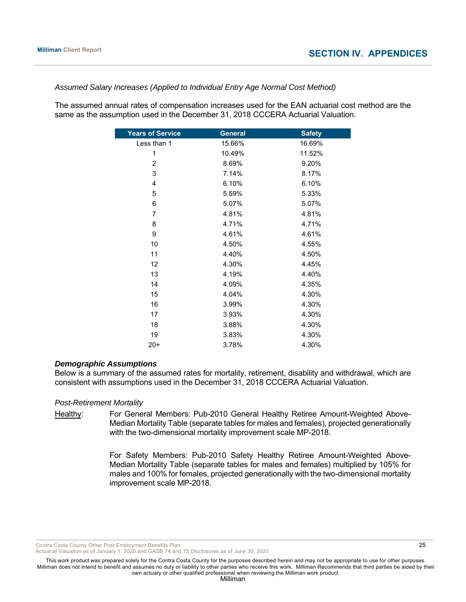#### *Assumed Salary Increases (Applied to Individual Entry Age Normal Cost Method)*

The assumed annual rates of compensation increases used for the EAN actuarial cost method are the same as the assumption used in the December 31, 2018 CCCERA Actuarial Valuation.

| <b>General</b> | <b>Safety</b> |
|----------------|---------------|
| 15.66%         | 16.69%        |
| 10.49%         | 11.52%        |
| 8.69%          | 9.20%         |
| 7.14%          | 8.17%         |
| 6.10%          | 6.10%         |
| 5.59%          | 5.33%         |
| 5.07%          | 5.07%         |
| 4.81%          | 4.81%         |
| 4.71%          | 4.71%         |
| 4.61%          | 4.61%         |
| 4.50%          | 4.55%         |
| 4.40%          | 4.50%         |
| 4.30%          | 4.45%         |
| 4.19%          | 4.40%         |
| 4.09%          | 4.35%         |
| 4.04%          | 4.30%         |
| 3.99%          | 4.30%         |
| 3.93%          | 4.30%         |
| 3.88%          | 4.30%         |
| 3.83%          | 4.30%         |
| 3.78%          | 4.30%         |
|                |               |

#### *Demographic Assumptions*

Below is a summary of the assumed rates for mortality, retirement, disability and withdrawal, which are consistent with assumptions used in the December 31, 2018 CCCERA Actuarial Valuation.

#### *Post-Retirement Mortality*

Healthy: For General Members: Pub-2010 General Healthy Retiree Amount-Weighted Above-Median Mortality Table (separate tables for males and females), projected generationally with the two-dimensional mortality improvement scale MP-2018.

> For Safety Members: Pub-2010 Safety Healthy Retiree Amount-Weighted Above-Median Mortality Table (separate tables for males and females) multiplied by 105% for males and 100% for females, projected generationally with the two-dimensional mortality improvement scale MP-2018.

Contra Costa County Other Post Employment Benefits Plan 2008 20 25

Actuarial Valuation as of January 1, 2020 and GASB 74 and 75 Disclosures as of June 30, 2020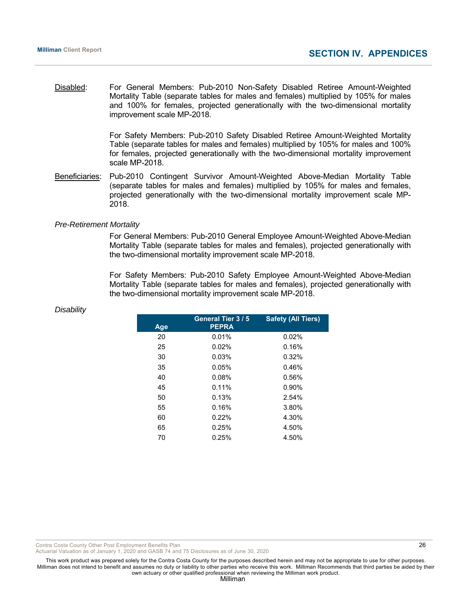Disabled: For General Members: Pub-2010 Non-Safety Disabled Retiree Amount-Weighted Mortality Table (separate tables for males and females) multiplied by 105% for males and 100% for females, projected generationally with the two-dimensional mortality improvement scale MP-2018.

> For Safety Members: Pub-2010 Safety Disabled Retiree Amount-Weighted Mortality Table (separate tables for males and females) multiplied by 105% for males and 100% for females, projected generationally with the two-dimensional mortality improvement scale MP-2018.

Beneficiaries: Pub-2010 Contingent Survivor Amount-Weighted Above-Median Mortality Table (separate tables for males and females) multiplied by 105% for males and females, projected generationally with the two-dimensional mortality improvement scale MP-2018.

#### *Pre-Retirement Mortality*

 For General Members: Pub-2010 General Employee Amount-Weighted Above-Median Mortality Table (separate tables for males and females), projected generationally with the two-dimensional mortality improvement scale MP-2018.

 For Safety Members: Pub-2010 Safety Employee Amount-Weighted Above-Median Mortality Table (separate tables for males and females), projected generationally with the two-dimensional mortality improvement scale MP-2018.

| Age | General Tier 3/5<br><b>PEPRA</b> | <b>Safety (All Tiers)</b> |
|-----|----------------------------------|---------------------------|
| 20  | 0.01%                            | 0.02%                     |
| 25  | 0.02%                            | 0.16%                     |
| 30  | 0.03%                            | 0.32%                     |
| 35  | 0.05%                            | 0.46%                     |
| 40  | 0.08%                            | 0.56%                     |
| 45  | 0.11%                            | 0.90%                     |
| 50  | 0.13%                            | 2.54%                     |
| 55  | 0.16%                            | 3.80%                     |
| 60  | 0.22%                            | 4.30%                     |
| 65  | 0.25%                            | 4.50%                     |
| 70  | 0.25%                            | 4.50%                     |
|     |                                  |                           |

#### *Disability*

Contra Costa County Other Post Employment Benefits Plan 26

Actuarial Valuation as of January 1, 2020 and GASB 74 and 75 Disclosures as of June 30, 2020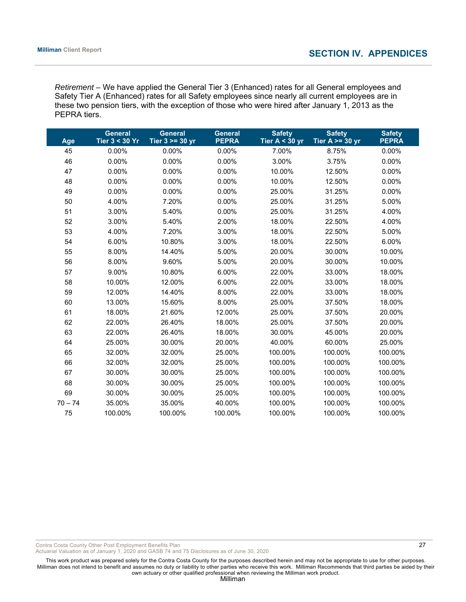*Retirement –* We have applied the General Tier 3 (Enhanced) rates for all General employees and Safety Tier A (Enhanced) rates for all Safety employees since nearly all current employees are in these two pension tiers, with the exception of those who were hired after January 1, 2013 as the PEPRA tiers.

|           | <b>General</b> | <b>General</b>     | <b>General</b> | <b>Safety</b>    | <b>Safety</b>     | <b>Safety</b> |
|-----------|----------------|--------------------|----------------|------------------|-------------------|---------------|
| Age       | Tier 3 < 30 Yr | Tier $3 \ge 30$ yr | <b>PEPRA</b>   | Tier $A < 30$ yr | Tier A $>=$ 30 yr | <b>PEPRA</b>  |
| 45        | 0.00%          | 0.00%              | 0.00%          | 7.00%            | 8.75%             | 0.00%         |
| 46        | 0.00%          | 0.00%              | 0.00%          | 3.00%            | 3.75%             | 0.00%         |
| 47        | 0.00%          | 0.00%              | 0.00%          | 10.00%           | 12.50%            | 0.00%         |
| 48        | 0.00%          | 0.00%              | 0.00%          | 10.00%           | 12.50%            | 0.00%         |
| 49        | 0.00%          | 0.00%              | 0.00%          | 25.00%           | 31.25%            | 0.00%         |
| 50        | 4.00%          | 7.20%              | 0.00%          | 25.00%           | 31.25%            | 5.00%         |
| 51        | 3.00%          | 5.40%              | 0.00%          | 25.00%           | 31.25%            | 4.00%         |
| 52        | 3.00%          | 5.40%              | 2.00%          | 18.00%           | 22.50%            | 4.00%         |
| 53        | 4.00%          | 7.20%              | 3.00%          | 18.00%           | 22.50%            | 5.00%         |
| 54        | 6.00%          | 10.80%             | 3.00%          | 18.00%           | 22.50%            | 6.00%         |
| 55        | 8.00%          | 14.40%             | 5.00%          | 20.00%           | 30.00%            | 10.00%        |
| 56        | 8.00%          | 9.60%              | 5.00%          | 20.00%           | 30.00%            | 10.00%        |
| 57        | 9.00%          | 10.80%             | 6.00%          | 22.00%           | 33.00%            | 18.00%        |
| 58        | 10.00%         | 12.00%             | 6.00%          | 22.00%           | 33.00%            | 18.00%        |
| 59        | 12.00%         | 14.40%             | 8.00%          | 22.00%           | 33.00%            | 18.00%        |
| 60        | 13.00%         | 15.60%             | 8.00%          | 25.00%           | 37.50%            | 18.00%        |
| 61        | 18.00%         | 21.60%             | 12.00%         | 25.00%           | 37.50%            | 20.00%        |
| 62        | 22.00%         | 26.40%             | 18.00%         | 25.00%           | 37.50%            | 20.00%        |
| 63        | 22.00%         | 26.40%             | 18.00%         | 30.00%           | 45.00%            | 20.00%        |
| 64        | 25.00%         | 30.00%             | 20.00%         | 40.00%           | 60.00%            | 25.00%        |
| 65        | 32.00%         | 32.00%             | 25.00%         | 100.00%          | 100.00%           | 100.00%       |
| 66        | 32.00%         | 32.00%             | 25.00%         | 100.00%          | 100.00%           | 100.00%       |
| 67        | 30.00%         | 30.00%             | 25.00%         | 100.00%          | 100.00%           | 100.00%       |
| 68        | 30.00%         | 30.00%             | 25.00%         | 100.00%          | 100.00%           | 100.00%       |
| 69        | 30.00%         | 30.00%             | 25.00%         | 100.00%          | 100.00%           | 100.00%       |
| $70 - 74$ | 35.00%         | 35.00%             | 40.00%         | 100.00%          | 100.00%           | 100.00%       |
| 75        | 100.00%        | 100.00%            | 100.00%        | 100.00%          | 100.00%           | 100.00%       |

Contra Costa County Other Post Employment Benefits Plan 27 and 27 and 27 and 27 and 27 and 27 and 27 and 27 and 27 and 27 and 27 and 27 and 27 and 27 and 27 and 27 and 27 and 27 and 27 and 27 and 27 and 27 and 27 and 28 an

Actuarial Valuation as of January 1, 2020 and GASB 74 and 75 Disclosures as of June 30, 2020

This work product was prepared solely for the Contra Costa County for the purposes described herein and may not be appropriate to use for other purposes. Milliman does not intend to benefit and assumes no duty or liability to other parties who receive this work. Milliman Recommends that third parties be aided by their own actuary or other qualified professional when reviewing the Milliman work product.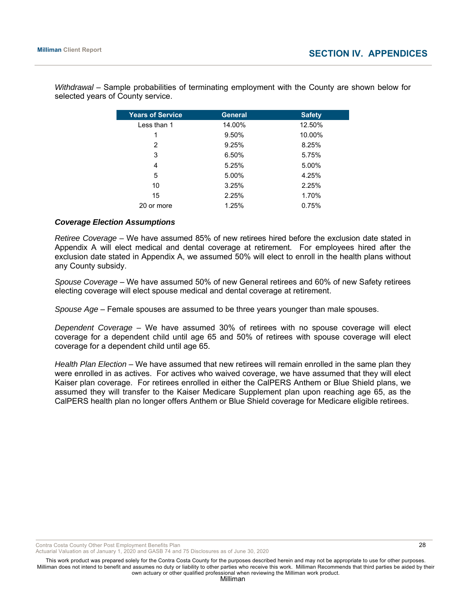| <b>Years of Service</b> | <b>General</b> | <b>Safety</b> |
|-------------------------|----------------|---------------|
| Less than 1             | 14.00%         | 12.50%        |
| 1                       | 9.50%          | 10.00%        |
| 2                       | 9.25%          | 8.25%         |
| 3                       | 6.50%          | 5.75%         |
| 4                       | 5.25%          | 5.00%         |
| 5                       | 5.00%          | 4.25%         |
| 10                      | 3.25%          | 2.25%         |
| 15                      | 2.25%          | 1.70%         |
| 20 or more              | 1.25%          | 0.75%         |

*Withdrawal* – Sample probabilities of terminating employment with the County are shown below for selected years of County service.

#### *Coverage Election Assumptions*

*Retiree Coverage –* We have assumed 85% of new retirees hired before the exclusion date stated in Appendix A will elect medical and dental coverage at retirement. For employees hired after the exclusion date stated in Appendix A, we assumed 50% will elect to enroll in the health plans without any County subsidy.

*Spouse Coverage* – We have assumed 50% of new General retirees and 60% of new Safety retirees electing coverage will elect spouse medical and dental coverage at retirement.

*Spouse Age* – Female spouses are assumed to be three years younger than male spouses.

*Dependent Coverage –* We have assumed 30% of retirees with no spouse coverage will elect coverage for a dependent child until age 65 and 50% of retirees with spouse coverage will elect coverage for a dependent child until age 65.

*Health Plan Election* – We have assumed that new retirees will remain enrolled in the same plan they were enrolled in as actives. For actives who waived coverage, we have assumed that they will elect Kaiser plan coverage. For retirees enrolled in either the CalPERS Anthem or Blue Shield plans, we assumed they will transfer to the Kaiser Medicare Supplement plan upon reaching age 65, as the CalPERS health plan no longer offers Anthem or Blue Shield coverage for Medicare eligible retirees.

Contra Costa County Other Post Employment Benefits Plan 20 and 20 and 20 and 20 and 28 and 28 and 28 and 28 and 28 and 28 and 28 and 28 and 28 and 28 and 28 and 28 and 28 and 28 and 20 and 20 and 20 and 20 and 20 and 20 an

Actuarial Valuation as of January 1, 2020 and GASB 74 and 75 Disclosures as of June 30, 2020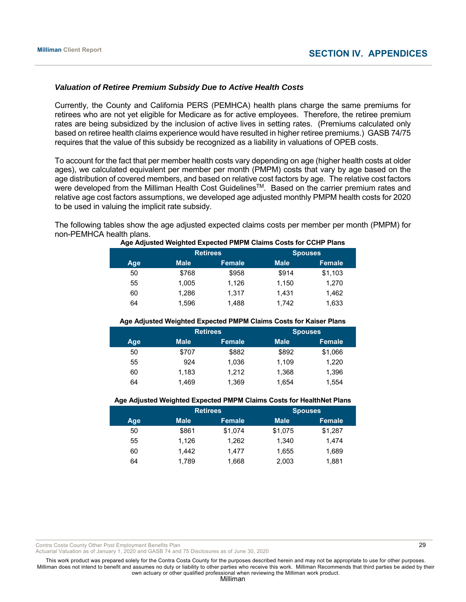#### *Valuation of Retiree Premium Subsidy Due to Active Health Costs*

Currently, the County and California PERS (PEMHCA) health plans charge the same premiums for retirees who are not yet eligible for Medicare as for active employees. Therefore, the retiree premium rates are being subsidized by the inclusion of active lives in setting rates. (Premiums calculated only based on retiree health claims experience would have resulted in higher retiree premiums.) GASB 74/75 requires that the value of this subsidy be recognized as a liability in valuations of OPEB costs.

To account for the fact that per member health costs vary depending on age (higher health costs at older ages), we calculated equivalent per member per month (PMPM) costs that vary by age based on the age distribution of covered members, and based on relative cost factors by age. The relative cost factors were developed from the Milliman Health Cost Guidelines™. Based on the carrier premium rates and relative age cost factors assumptions, we developed age adjusted monthly PMPM health costs for 2020 to be used in valuing the implicit rate subsidy.

The following tables show the age adjusted expected claims costs per member per month (PMPM) for non-PEMHCA health plans.

|     | <b>Retirees</b> |               | <b>Spouses</b> |               |
|-----|-----------------|---------------|----------------|---------------|
| Age | <b>Male</b>     | <b>Female</b> | <b>Male</b>    | <b>Female</b> |
| 50  | \$768           | \$958         | \$914          | \$1,103       |
| 55  | 1.005           | 1,126         | 1,150          | 1,270         |
| 60  | 1.286           | 1,317         | 1.431          | 1,462         |
| 64  | 1,596           | 1,488         | 1.742          | 1,633         |

#### **Age Adjusted Weighted Expected PMPM Claims Costs for CCHP Plans**

#### **Age Adjusted Weighted Expected PMPM Claims Costs for Kaiser Plans**

|     | <b>Retirees</b> |        | <b>Spouses</b> |               |  |
|-----|-----------------|--------|----------------|---------------|--|
| Age | <b>Male</b>     | Female | <b>Male</b>    | <b>Female</b> |  |
| 50  | \$707           | \$882  | \$892          | \$1,066       |  |
| 55  | 924             | 1,036  | 1.109          | 1,220         |  |
| 60  | 1,183           | 1,212  | 1.368          | 1,396         |  |
| 64  | 1.469           | 1,369  | 1.654          | 1,554         |  |

#### **Age Adjusted Weighted Expected PMPM Claims Costs for HealthNet Plans**

|     |             | <b>Retirees</b> | <b>Spouses</b> |               |  |
|-----|-------------|-----------------|----------------|---------------|--|
| Age | <b>Male</b> | <b>Female</b>   | <b>Male</b>    | <b>Female</b> |  |
| 50  | \$861       | \$1,074         | \$1,075        | \$1,287       |  |
| 55  | 1,126       | 1,262           | 1,340          | 1,474         |  |
| 60  | 1.442       | 1.477           | 1,655          | 1,689         |  |
| 64  | 1.789       | 1,668           | 2,003          | 1,881         |  |

Contra Costa County Other Post Employment Benefits Plan 20 and 20 and 20 and 20 and 20 and 20 and 20 and 20 and 20 and 20 and 20 and 20 and 20 and 20 and 20 and 20 and 20 and 20 and 20 and 20 and 20 and 20 and 20 and 20 an

Actuarial Valuation as of January 1, 2020 and GASB 74 and 75 Disclosures as of June 30, 2020

This work product was prepared solely for the Contra Costa County for the purposes described herein and may not be appropriate to use for other purposes. Milliman does not intend to benefit and assumes no duty or liability to other parties who receive this work. Milliman Recommends that third parties be aided by their own actuary or other qualified professional when reviewing the Milliman work product.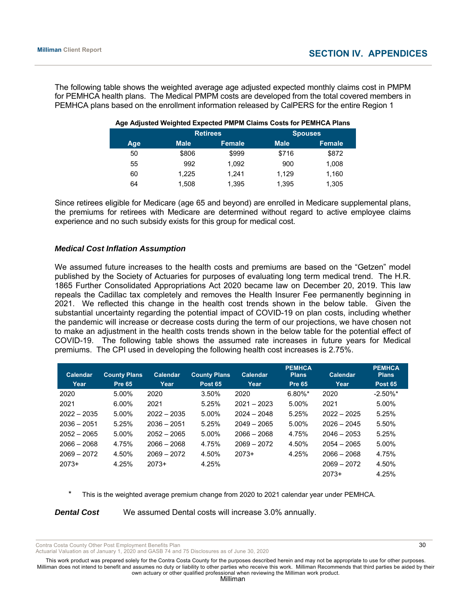The following table shows the weighted average age adjusted expected monthly claims cost in PMPM for PEMHCA health plans. The Medical PMPM costs are developed from the total covered members in PEMHCA plans based on the enrollment information released by CalPERS for the entire Region 1

|     |             | <b>Retirees</b> |             | <b>Spouses</b> |
|-----|-------------|-----------------|-------------|----------------|
| Age | <b>Male</b> | <b>Female</b>   | <b>Male</b> | <b>Female</b>  |
| 50  | \$806       | \$999           | \$716       | \$872          |
| 55  | 992         | 1,092           | 900         | 1,008          |
| 60  | 1.225       | 1.241           | 1.129       | 1,160          |
| 64  | 1.508       | 1,395           | 1,395       | 1,305          |

#### **Age Adjusted Weighted Expected PMPM Claims Costs for PEMHCA Plans**

Since retirees eligible for Medicare (age 65 and beyond) are enrolled in Medicare supplemental plans, the premiums for retirees with Medicare are determined without regard to active employee claims experience and no such subsidy exists for this group for medical cost.

#### *Medical Cost Inflation Assumption*

We assumed future increases to the health costs and premiums are based on the "Getzen" model published by the Society of Actuaries for purposes of evaluating long term medical trend. The H.R. 1865 Further Consolidated Appropriations Act 2020 became law on December 20, 2019. This law repeals the Cadillac tax completely and removes the Health Insurer Fee permanently beginning in 2021. We reflected this change in the health cost trends shown in the below table. Given the substantial uncertainty regarding the potential impact of COVID-19 on plan costs, including whether the pandemic will increase or decrease costs during the term of our projections, we have chosen not to make an adjustment in the health costs trends shown in the below table for the potential effect of COVID-19. The following table shows the assumed rate increases in future years for Medical premiums. The CPI used in developing the following health cost increases is 2.75%.

| <b>Calendar</b> | <b>County Plans</b> | Calendar      | <b>County Plans</b> | Calendar      | <b>PEMHCA</b><br><b>Plans</b> | Calendar      | <b>PEMHCA</b><br><b>Plans</b> |
|-----------------|---------------------|---------------|---------------------|---------------|-------------------------------|---------------|-------------------------------|
| Year            | <b>Pre 65</b>       | Year          | <b>Post 65</b>      | Year          | <b>Pre 65</b>                 | Year          | <b>Post 65</b>                |
| 2020            | 5.00%               | 2020          | 3.50%               | 2020          | $6.80\%$ *                    | 2020          | $-2.50\%$ *                   |
| 2021            | $6.00\%$            | 2021          | 5.25%               | $2021 - 2023$ | 5.00%                         | 2021          | 5.00%                         |
| $2022 - 2035$   | 5.00%               | $2022 - 2035$ | 5.00%               | $2024 - 2048$ | 5.25%                         | $2022 - 2025$ | 5.25%                         |
| $2036 - 2051$   | 5.25%               | $2036 - 2051$ | 5.25%               | $2049 - 2065$ | 5.00%                         | $2026 - 2045$ | 5.50%                         |
| $2052 - 2065$   | 5.00%               | $2052 - 2065$ | 5.00%               | $2066 - 2068$ | 4.75%                         | $2046 - 2053$ | 5.25%                         |
| $2066 - 2068$   | 4.75%               | $2066 - 2068$ | 4.75%               | $2069 - 2072$ | 4.50%                         | $2054 - 2065$ | 5.00%                         |
| $2069 - 2072$   | 4.50%               | $2069 - 2072$ | 4.50%               | $2073+$       | 4.25%                         | $2066 - 2068$ | 4.75%                         |
| $2073+$         | 4.25%               | $2073+$       | 4.25%               |               |                               | $2069 - 2072$ | 4.50%                         |
|                 |                     |               |                     |               |                               | $2073+$       | 4.25%                         |

This is the weighted average premium change from 2020 to 2021 calendar year under PEMHCA.

**Dental Cost** We assumed Dental costs will increase 3.0% annually.

Contra Costa County Other Post Employment Benefits Plan 30 and 30 and 30 and 30 and 30 and 30 and 30 and 30 and 30 and 30 and 30 and 30 and 30 and 30 and 30 and 30 and 30 and 30 and 30 and 30 and 30 and 30 and 30 and 30 an

Actuarial Valuation as of January 1, 2020 and GASB 74 and 75 Disclosures as of June 30, 2020

This work product was prepared solely for the Contra Costa County for the purposes described herein and may not be appropriate to use for other purposes. Milliman does not intend to benefit and assumes no duty or liability to other parties who receive this work. Milliman Recommends that third parties be aided by their own actuary or other qualified professional when reviewing the Milliman work product.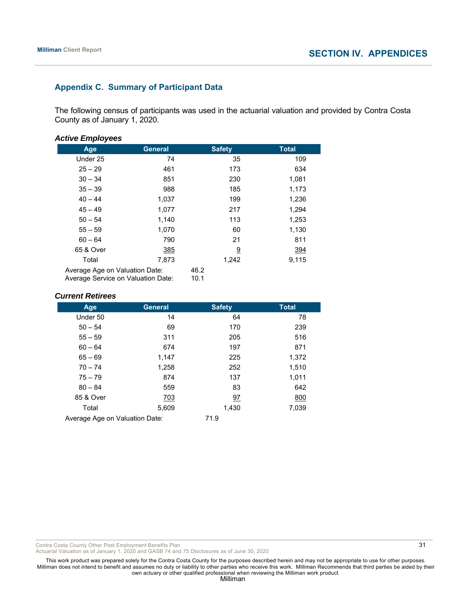# **Appendix C. Summary of Participant Data**

The following census of participants was used in the actuarial valuation and provided by Contra Costa County as of January 1, 2020.

#### *Active Employees*

| Age                                                                  | <b>General</b> | <b>Safety</b> | <b>Total</b> |
|----------------------------------------------------------------------|----------------|---------------|--------------|
| Under 25                                                             | 74             | 35            | 109          |
| $25 - 29$                                                            | 461            | 173           | 634          |
| $30 - 34$                                                            | 851            | 230           | 1,081        |
| $35 - 39$                                                            | 988            | 185           | 1,173        |
| $40 - 44$                                                            | 1,037          | 199           | 1,236        |
| $45 - 49$                                                            | 1,077          | 217           | 1,294        |
| $50 - 54$                                                            | 1,140          | 113           | 1,253        |
| $55 - 59$                                                            | 1,070          | 60            | 1,130        |
| $60 - 64$                                                            | 790            | 21            | 811          |
| 65 & Over                                                            | 385            | <u>9</u>      | 394          |
| Total                                                                | 7,873          | 1,242         | 9,115        |
| Average Age on Valuation Date:<br>Average Service on Valuation Date: |                | 46.2<br>10.1  |              |

#### *Current Retirees*

| Age                            | <b>General</b> | <b>Safety</b> | <b>Total</b> |
|--------------------------------|----------------|---------------|--------------|
| Under 50                       | 14             | 64            | 78           |
| $50 - 54$                      | 69             | 170           | 239          |
| $55 - 59$                      | 311            | 205           | 516          |
| $60 - 64$                      | 674            | 197           | 871          |
| $65 - 69$                      | 1,147          | 225           | 1,372        |
| $70 - 74$                      | 1,258          | 252           | 1,510        |
| $75 - 79$                      | 874            | 137           | 1,011        |
| $80 - 84$                      | 559            | 83            | 642          |
| 85 & Over                      | 703            | 97            | 800          |
| Total                          | 5,609          | 1,430         | 7,039        |
| Average Age on Valuation Date: |                | 71.9          |              |

Contra Costa County Other Post Employment Benefits Plan 31 and 31 and 31 and 31 and 31 and 31 and 31 and 31 and 31 and 31 and 31 and 31 and 31 and 31 and 31 and 31 and 31 and 31 and 31 and 31 and 31 and 32 and 32 and 32 an

Actuarial Valuation as of January 1, 2020 and GASB 74 and 75 Disclosures as of June 30, 2020